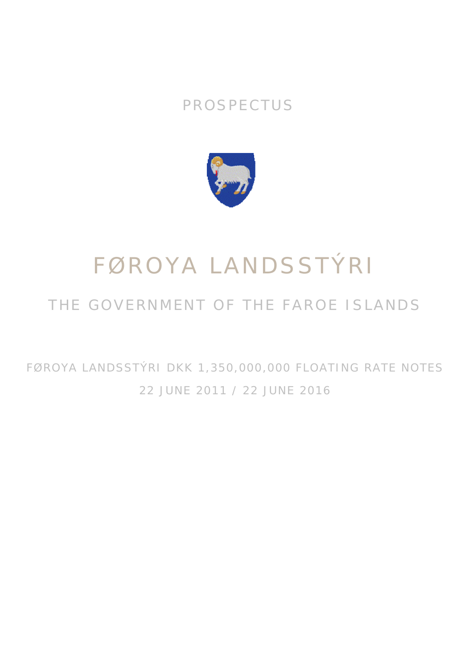### PROSPECTUS



# FØROYA LANDSSTÝRI

## THE GOVERNMENT OF THE FAROE ISLANDS

FØROYA LANDSSTÝRI DKK 1,350,000,000 FLOATING RATE NOTES 22 JUNE 2011 / 22 JUNE 2016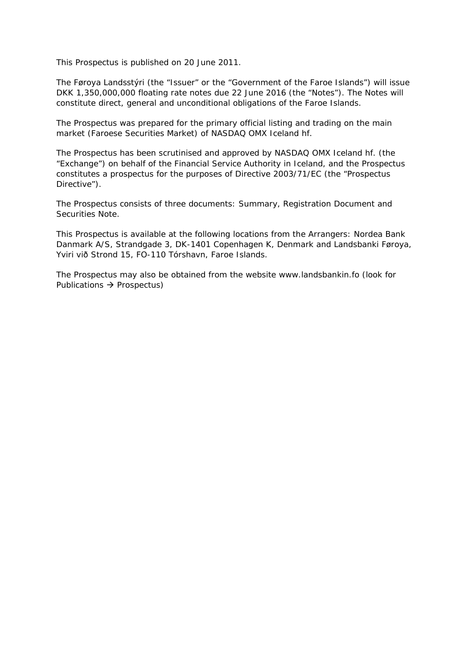This Prospectus is published on 20 June 2011.

The Føroya Landsstýri (the "Issuer" or the "Government of the Faroe Islands") will issue DKK 1,350,000,000 floating rate notes due 22 June 2016 (the "Notes"). The Notes will constitute direct, general and unconditional obligations of the Faroe Islands.

The Prospectus was prepared for the primary official listing and trading on the main market (Faroese Securities Market) of NASDAQ OMX Iceland hf.

The Prospectus has been scrutinised and approved by NASDAQ OMX Iceland hf. (the "Exchange") on behalf of the Financial Service Authority in Iceland, and the Prospectus constitutes a prospectus for the purposes of Directive 2003/71/EC (the "Prospectus Directive").

The Prospectus consists of three documents: Summary, Registration Document and Securities Note.

This Prospectus is available at the following locations from the Arrangers: Nordea Bank Danmark A/S, Strandgade 3, DK-1401 Copenhagen K, Denmark and Landsbanki Føroya, Yviri við Strond 15, FO-110 Tórshavn, Faroe Islands.

The Prospectus may also be obtained from the website www.landsbankin.fo (look for Publications  $\rightarrow$  Prospectus)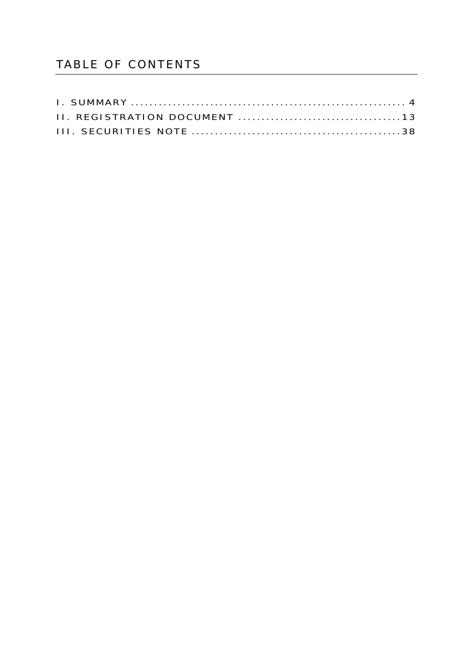### TABLE OF CONTENTS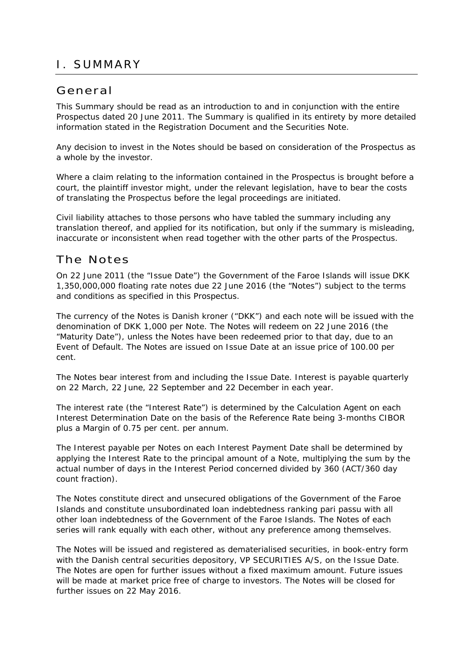### <span id="page-3-0"></span>I. SUMMARY

### General

This Summary should be read as an introduction to and in conjunction with the entire Prospectus dated 20 June 2011. The Summary is qualified in its entirety by more detailed information stated in the Registration Document and the Securities Note.

Any decision to invest in the Notes should be based on consideration of the Prospectus as a whole by the investor.

Where a claim relating to the information contained in the Prospectus is brought before a court, the plaintiff investor might, under the relevant legislation, have to bear the costs of translating the Prospectus before the legal proceedings are initiated.

Civil liability attaches to those persons who have tabled the summary including any translation thereof, and applied for its notification, but only if the summary is misleading, inaccurate or inconsistent when read together with the other parts of the Prospectus.

### The Notes

On 22 June 2011 (the "Issue Date") the Government of the Faroe Islands will issue DKK 1,350,000,000 floating rate notes due 22 June 2016 (the "Notes") subject to the terms and conditions as specified in this Prospectus.

The currency of the Notes is Danish kroner ("DKK") and each note will be issued with the denomination of DKK 1,000 per Note. The Notes will redeem on 22 June 2016 (the "Maturity Date"), unless the Notes have been redeemed prior to that day, due to an Event of Default. The Notes are issued on Issue Date at an issue price of 100.00 per cent.

The Notes bear interest from and including the Issue Date. Interest is payable quarterly on 22 March, 22 June, 22 September and 22 December in each year.

The interest rate (the "Interest Rate") is determined by the Calculation Agent on each Interest Determination Date on the basis of the Reference Rate being 3-months CIBOR plus a Margin of 0.75 per cent. per annum.

The Interest payable per Notes on each Interest Payment Date shall be determined by applying the Interest Rate to the principal amount of a Note, multiplying the sum by the actual number of days in the Interest Period concerned divided by 360 (ACT/360 day count fraction).

The Notes constitute direct and unsecured obligations of the Government of the Faroe Islands and constitute unsubordinated loan indebtedness ranking *pari passu* with all other loan indebtedness of the Government of the Faroe Islands. The Notes of each series will rank equally with each other, without any preference among themselves.

The Notes will be issued and registered as dematerialised securities, in book-entry form with the Danish central securities depository, VP SECURITIES A/S, on the Issue Date. The Notes are open for further issues without a fixed maximum amount. Future issues will be made at market price free of charge to investors. The Notes will be closed for further issues on 22 May 2016.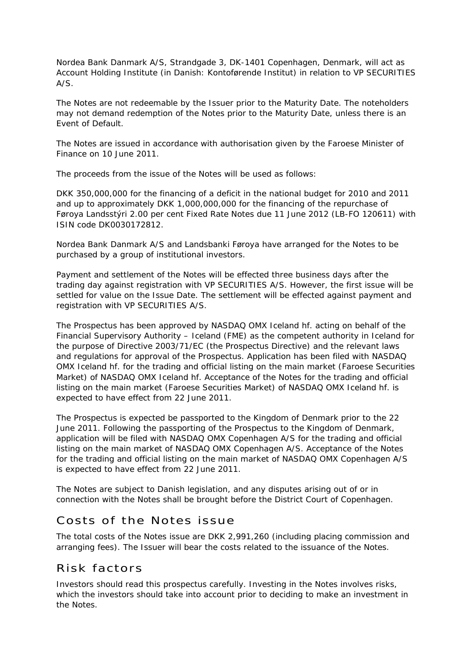Nordea Bank Danmark A/S, Strandgade 3, DK-1401 Copenhagen, Denmark, will act as Account Holding Institute (in Danish: *Kontoførende Institut*) in relation to VP SECURITIES A/S.

The Notes are not redeemable by the Issuer prior to the Maturity Date. The noteholders may not demand redemption of the Notes prior to the Maturity Date, unless there is an Event of Default.

The Notes are issued in accordance with authorisation given by the Faroese Minister of Finance on 10 June 2011.

The proceeds from the issue of the Notes will be used as follows:

DKK 350,000,000 for the financing of a deficit in the national budget for 2010 and 2011 and up to approximately DKK 1,000,000,000 for the financing of the repurchase of Føroya Landsstýri 2.00 per cent Fixed Rate Notes due 11 June 2012 (LB-FO 120611) with ISIN code DK0030172812.

Nordea Bank Danmark A/S and Landsbanki Føroya have arranged for the Notes to be purchased by a group of institutional investors.

Payment and settlement of the Notes will be effected three business days after the trading day against registration with VP SECURITIES A/S. However, the first issue will be settled for value on the Issue Date. The settlement will be effected against payment and registration with VP SECURITIES A/S.

The Prospectus has been approved by NASDAQ OMX Iceland hf. acting on behalf of the Financial Supervisory Authority – Iceland (FME) as the competent authority in Iceland for the purpose of Directive 2003/71/EC (the Prospectus Directive) and the relevant laws and regulations for approval of the Prospectus. Application has been filed with NASDAQ OMX Iceland hf. for the trading and official listing on the main market (Faroese Securities Market) of NASDAQ OMX Iceland hf. Acceptance of the Notes for the trading and official listing on the main market (Faroese Securities Market) of NASDAQ OMX Iceland hf. is expected to have effect from 22 June 2011.

The Prospectus is expected be passported to the Kingdom of Denmark prior to the 22 June 2011. Following the passporting of the Prospectus to the Kingdom of Denmark, application will be filed with NASDAQ OMX Copenhagen A/S for the trading and official listing on the main market of NASDAQ OMX Copenhagen A/S. Acceptance of the Notes for the trading and official listing on the main market of NASDAQ OMX Copenhagen A/S is expected to have effect from 22 June 2011.

The Notes are subject to Danish legislation, and any disputes arising out of or in connection with the Notes shall be brought before the District Court of Copenhagen.

### Costs of the Notes issue

The total costs of the Notes issue are DKK 2,991,260 (including placing commission and arranging fees). The Issuer will bear the costs related to the issuance of the Notes.

### Risk factors

Investors should read this prospectus carefully. Investing in the Notes involves risks, which the investors should take into account prior to deciding to make an investment in the Notes.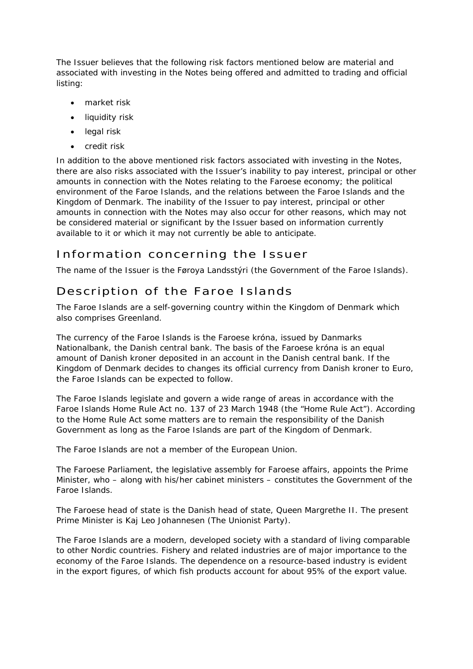The Issuer believes that the following risk factors mentioned below are material and associated with investing in the Notes being offered and admitted to trading and official listing:

- market risk
- liquidity risk
- legal risk
- credit risk

In addition to the above mentioned risk factors associated with investing in the Notes, there are also risks associated with the Issuer's inability to pay interest, principal or other amounts in connection with the Notes relating to the Faroese economy; the political environment of the Faroe Islands, and the relations between the Faroe Islands and the Kingdom of Denmark. The inability of the Issuer to pay interest, principal or other amounts in connection with the Notes may also occur for other reasons, which may not be considered material or significant by the Issuer based on information currently available to it or which it may not currently be able to anticipate.

### Information concerning the Issuer

The name of the Issuer is the Føroya Landsstýri (the Government of the Faroe Islands).

### Description of the Faroe Islands

The Faroe Islands are a self-governing country within the Kingdom of Denmark which also comprises Greenland.

The currency of the Faroe Islands is the Faroese króna, issued by Danmarks Nationalbank, the Danish central bank. The basis of the Faroese króna is an equal amount of Danish kroner deposited in an account in the Danish central bank. If the Kingdom of Denmark decides to changes its official currency from Danish kroner to Euro, the Faroe Islands can be expected to follow.

The Faroe Islands legislate and govern a wide range of areas in accordance with the Faroe Islands Home Rule Act no. 137 of 23 March 1948 (the "Home Rule Act"). According to the Home Rule Act some matters are to remain the responsibility of the Danish Government as long as the Faroe Islands are part of the Kingdom of Denmark.

The Faroe Islands are not a member of the European Union.

The Faroese Parliament, the legislative assembly for Faroese affairs, appoints the Prime Minister, who – along with his/her cabinet ministers – constitutes the Government of the Faroe Islands.

The Faroese head of state is the Danish head of state, Queen Margrethe II. The present Prime Minister is Kaj Leo Johannesen (The Unionist Party).

The Faroe Islands are a modern, developed society with a standard of living comparable to other Nordic countries. Fishery and related industries are of major importance to the economy of the Faroe Islands. The dependence on a resource-based industry is evident in the export figures, of which fish products account for about 95% of the export value.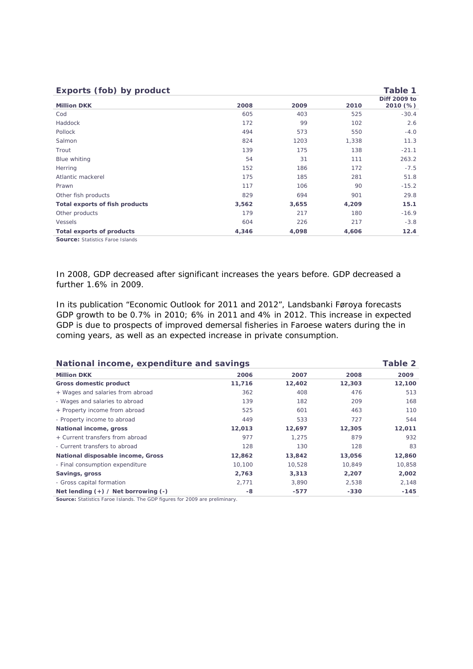| Exports (fob) by product       |       |       |       | <b>Table 1</b>           |
|--------------------------------|-------|-------|-------|--------------------------|
| <b>Million DKK</b>             | 2008  | 2009  | 2010  | Diff 2009 to<br>2010 (%) |
| Cod                            | 605   | 403   | 525   | $-30.4$                  |
| Haddock                        | 172   | 99    | 102   | 2.6                      |
| Pollock                        | 494   | 573   | 550   | $-4.0$                   |
| Salmon                         | 824   | 1203  | 1,338 | 11.3                     |
| Trout                          | 139   | 175   | 138   | $-21.1$                  |
| Blue whiting                   | 54    | 31    | 111   | 263.2                    |
| Herring                        | 152   | 186   | 172   | $-7.5$                   |
| Atlantic mackerel              | 175   | 185   | 281   | 51.8                     |
| Prawn                          | 117   | 106   | 90    | $-15.2$                  |
| Other fish products            | 829   | 694   | 901   | 29.8                     |
| Total exports of fish products | 3,562 | 3,655 | 4,209 | 15.1                     |
| Other products                 | 179   | 217   | 180   | $-16.9$                  |
| Vessels                        | 604   | 226   | 217   | $-3.8$                   |
| Total exports of products      | 4,346 | 4,098 | 4,606 | 12.4                     |
|                                |       |       |       |                          |

**Source:** Statistics Faroe Islands

In 2008, GDP decreased after significant increases the years before. GDP decreased a further 1.6% in 2009.

In its publication "Economic Outlook for 2011 and 2012", Landsbanki Føroya forecasts GDP growth to be 0.7% in 2010; 6% in 2011 and 4% in 2012. This increase in expected GDP is due to prospects of improved demersal fisheries in Faroese waters during the in coming years, as well as an expected increase in private consumption.

| National income, expenditure and savings |        |        | Table 2 |        |
|------------------------------------------|--------|--------|---------|--------|
| <b>Million DKK</b>                       | 2006   | 2007   | 2008    | 2009   |
| Gross domestic product                   | 11,716 | 12,402 | 12,303  | 12,100 |
| + Wages and salaries from abroad         | 362    | 408    | 476     | 513    |
| - Wages and salaries to abroad           | 139    | 182    | 209     | 168    |
| + Property income from abroad            | 525    | 601    | 463     | 110    |
| - Property income to abroad              | 449    | 533    | 727     | 544    |
| National income, gross                   | 12,013 | 12,697 | 12,305  | 12,011 |
| + Current transfers from abroad          | 977    | 1.275  | 879     | 932    |
| - Current transfers to abroad            | 128    | 130    | 128     | 83     |
| National disposable income, Gross        | 12,862 | 13,842 | 13,056  | 12,860 |
| - Final consumption expenditure          | 10,100 | 10,528 | 10,849  | 10,858 |
| Savings, gross                           | 2,763  | 3,313  | 2,207   | 2,002  |
| - Gross capital formation                | 2,771  | 3,890  | 2,538   | 2,148  |
| Net lending $(+)$ / Net borrowing $(-)$  | -8     | $-577$ | $-330$  | $-145$ |

**Source:** Statistics Faroe Islands. The GDP figures for 2009 are preliminary.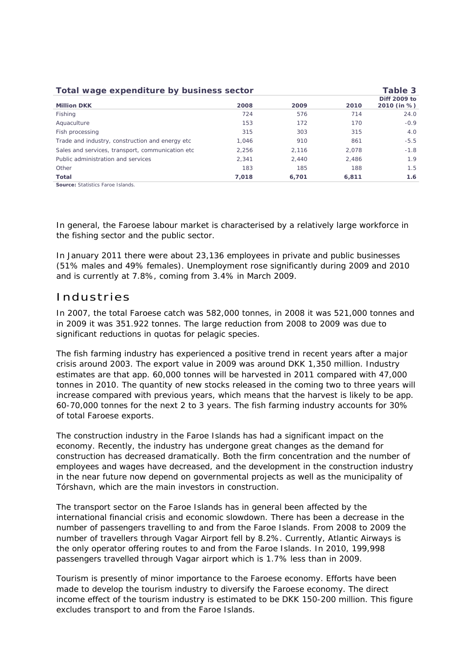| Total wage expenditure by business sector         |       |       |       | Table 3      |
|---------------------------------------------------|-------|-------|-------|--------------|
|                                                   |       |       |       | Diff 2009 to |
| <b>Million DKK</b>                                | 2008  | 2009  | 2010  | 2010 (in %)  |
| Fishing                                           | 724   | 576   | 714   | 24.0         |
| Aquaculture                                       | 153   | 172   | 170   | $-0.9$       |
| Fish processing                                   | 315   | 303   | 315   | 4.0          |
| Trade and industry, construction and energy etc   | 1,046 | 910   | 861   | $-5.5$       |
| Sales and services, transport, communication etc. | 2,256 | 2.116 | 2.078 | $-1.8$       |
| Public administration and services                | 2.341 | 2.440 | 2.486 | 1.9          |
| Other                                             | 183   | 185   | 188   | 1.5          |
| <b>Total</b>                                      | 7,018 | 6,701 | 6,811 | 1.6          |
| <b>Source: Statistics Faroe Islands.</b>          |       |       |       |              |

In general, the Faroese labour market is characterised by a relatively large workforce in the fishing sector and the public sector.

In January 2011 there were about 23,136 employees in private and public businesses (51% males and 49% females). Unemployment rose significantly during 2009 and 2010 and is currently at 7.8%, coming from 3.4% in March 2009.

### Industries

In 2007, the total Faroese catch was 582,000 tonnes, in 2008 it was 521,000 tonnes and in 2009 it was 351.922 tonnes. The large reduction from 2008 to 2009 was due to significant reductions in quotas for pelagic species.

The fish farming industry has experienced a positive trend in recent years after a major crisis around 2003. The export value in 2009 was around DKK 1,350 million. Industry estimates are that app. 60,000 tonnes will be harvested in 2011 compared with 47,000 tonnes in 2010. The quantity of new stocks released in the coming two to three years will increase compared with previous years, which means that the harvest is likely to be app. 60-70,000 tonnes for the next 2 to 3 years. The fish farming industry accounts for 30% of total Faroese exports.

The construction industry in the Faroe Islands has had a significant impact on the economy. Recently, the industry has undergone great changes as the demand for construction has decreased dramatically. Both the firm concentration and the number of employees and wages have decreased, and the development in the construction industry in the near future now depend on governmental projects as well as the municipality of Tórshavn, which are the main investors in construction.

The transport sector on the Faroe Islands has in general been affected by the international financial crisis and economic slowdown. There has been a decrease in the number of passengers travelling to and from the Faroe Islands. From 2008 to 2009 the number of travellers through Vagar Airport fell by 8.2%. Currently, Atlantic Airways is the only operator offering routes to and from the Faroe Islands. In 2010, 199,998 passengers travelled through Vagar airport which is 1.7% less than in 2009.

Tourism is presently of minor importance to the Faroese economy. Efforts have been made to develop the tourism industry to diversify the Faroese economy. The direct income effect of the tourism industry is estimated to be DKK 150-200 million. This figure excludes transport to and from the Faroe Islands.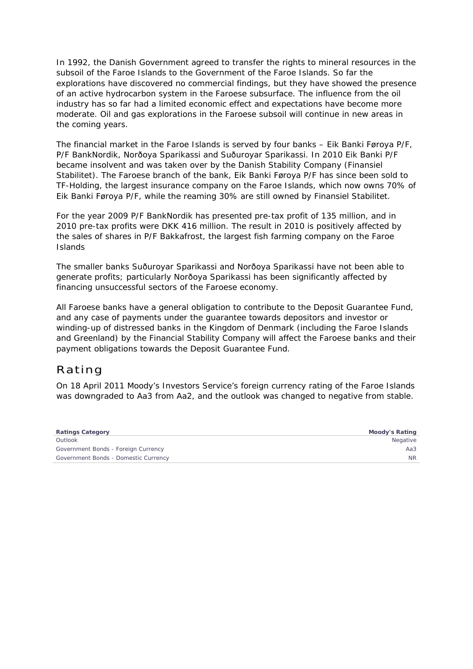In 1992, the Danish Government agreed to transfer the rights to mineral resources in the subsoil of the Faroe Islands to the Government of the Faroe Islands. So far the explorations have discovered no commercial findings, but they have showed the presence of an active hydrocarbon system in the Faroese subsurface. The influence from the oil industry has so far had a limited economic effect and expectations have become more moderate. Oil and gas explorations in the Faroese subsoil will continue in new areas in the coming years.

The financial market in the Faroe Islands is served by four banks – Eik Banki Føroya P/F, P/F BankNordik, Norðoya Sparikassi and Suðuroyar Sparikassi. In 2010 Eik Banki P/F became insolvent and was taken over by the Danish Stability Company (Finansiel Stabilitet). The Faroese branch of the bank, Eik Banki Føroya P/F has since been sold to TF-Holding, the largest insurance company on the Faroe Islands, which now owns 70% of Eik Banki Føroya P/F, while the reaming 30% are still owned by Finansiel Stabilitet.

For the year 2009 P/F BankNordik has presented pre-tax profit of 135 million, and in 2010 pre-tax profits were DKK 416 million. The result in 2010 is positively affected by the sales of shares in P/F Bakkafrost, the largest fish farming company on the Faroe Islands

The smaller banks Suðuroyar Sparikassi and Norðoya Sparikassi have not been able to generate profits; particularly Norðoya Sparikassi has been significantly affected by financing unsuccessful sectors of the Faroese economy.

All Faroese banks have a general obligation to contribute to the Deposit Guarantee Fund, and any case of payments under the guarantee towards depositors and investor or winding-up of distressed banks in the Kingdom of Denmark (including the Faroe Islands and Greenland) by the Financial Stability Company will affect the Faroese banks and their payment obligations towards the Deposit Guarantee Fund.

### Rating

On 18 April 2011 Moody's Investors Service's foreign currency rating of the Faroe Islands was downgraded to Aa3 from Aa2, and the outlook was changed to negative from stable.

| <b>Ratings Category</b>              | Moody's Rating |
|--------------------------------------|----------------|
| Outlook                              | Negative       |
| Government Bonds - Foreign Currency  | Aa3            |
| Government Bonds - Domestic Currency | NR.            |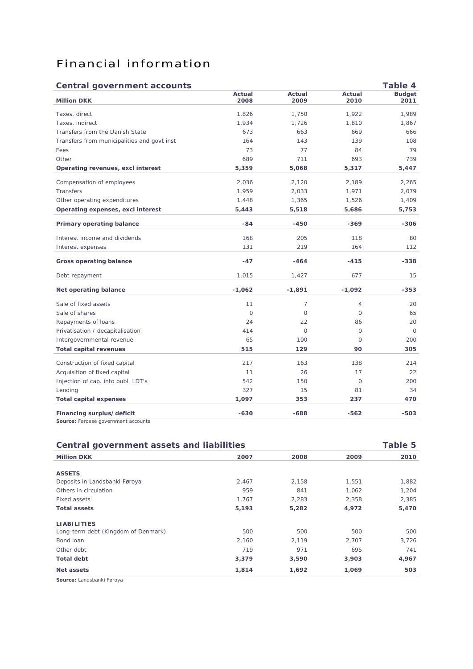### Financial information

### **Central government accounts Table 4**

| central government accounts                 |          |                |                | Table 4       |
|---------------------------------------------|----------|----------------|----------------|---------------|
|                                             | Actual   | Actual         | Actual         | <b>Budget</b> |
| <b>Million DKK</b>                          | 2008     | 2009           | 2010           | 2011          |
| Taxes, direct                               | 1,826    | 1,750          | 1,922          | 1,989         |
| Taxes, indirect                             | 1,934    | 1,726          | 1,810          | 1,867         |
| Transfers from the Danish State             | 673      | 663            | 669            | 666           |
| Transfers from municipalities and govt inst | 164      | 143            | 139            | 108           |
| Fees                                        | 73       | 77             | 84             | 79            |
| Other                                       | 689      | 711            | 693            | 739           |
| Operating revenues, excl interest           | 5,359    | 5,068          | 5,317          | 5,447         |
| Compensation of employees                   | 2,036    | 2,120          | 2,189          | 2,265         |
| <b>Transfers</b>                            | 1,959    | 2,033          | 1,971          | 2,079         |
| Other operating expenditures                | 1,448    | 1,365          | 1,526          | 1,409         |
| Operating expenses, excl interest           | 5,443    | 5,518          | 5,686          | 5,753         |
| Primary operating balance                   | $-84$    | $-450$         | $-369$         | $-306$        |
| Interest income and dividends               | 168      | 205            | 118            | 80            |
| Interest expenses                           | 131      | 219            | 164            | 112           |
| <b>Gross operating balance</b>              | $-47$    | $-464$         | $-415$         | $-338$        |
| Debt repayment                              | 1,015    | 1,427          | 677            | 15            |
| Net operating balance                       | $-1,062$ | $-1,891$       | $-1,092$       | $-353$        |
| Sale of fixed assets                        | 11       | $\overline{7}$ | $\overline{4}$ | 20            |
| Sale of shares                              | $\Omega$ | $\Omega$       | $\Omega$       | 65            |
| Repayments of loans                         | 24       | 22             | 86             | 20            |
| Privatisation / decapitalisation            | 414      | $\Omega$       | $\circ$        | $\circ$       |
| Intergovernmental revenue                   | 65       | 100            | $\Omega$       | 200           |
| <b>Total capital revenues</b>               | 515      | 129            | 90             | 305           |
| Construction of fixed capital               | 217      | 163            | 138            | 214           |
| Acquisition of fixed capital                | 11       | 26             | 17             | 22            |
| Injection of cap. into publ. LDT's          | 542      | 150            | $\overline{O}$ | 200           |
| Lending                                     | 327      | 15             | 81             | 34            |
| <b>Total capital expenses</b>               | 1,097    | 353            | 237            | 470           |
| Financing surplus/deficit                   | $-630$   | $-688$         | $-562$         | $-503$        |
| Course: Escoso government accounts          |          |                |                |               |

**Source:** Faroese government accounts

| <b>Central government assets and liabilities</b> |       |       |       | Table 5 |
|--------------------------------------------------|-------|-------|-------|---------|
| <b>Million DKK</b>                               | 2007  | 2008  | 2009  | 2010    |
| <b>ASSETS</b>                                    |       |       |       |         |
| Deposits in Landsbanki Føroya                    | 2.467 | 2,158 | 1,551 | 1,882   |
| Others in circulation                            | 959   | 841   | 1,062 | 1,204   |
| Fixed assets                                     | 1,767 | 2,283 | 2,358 | 2,385   |
| <b>Total assets</b>                              | 5,193 | 5,282 | 4,972 | 5,470   |
| <b>LIABILITIES</b>                               |       |       |       |         |
| Long-term debt (Kingdom of Denmark)              | 500   | 500   | 500   | 500     |
| Bond loan                                        | 2,160 | 2,119 | 2,707 | 3,726   |
| Other debt                                       | 719   | 971   | 695   | 741     |
| <b>Total debt</b>                                | 3,379 | 3,590 | 3,903 | 4,967   |
| Net assets                                       | 1,814 | 1,692 | 1,069 | 503     |
| Carmea: Londoboni: Foreig                        |       |       |       |         |

**Source:** Landsbanki Føroya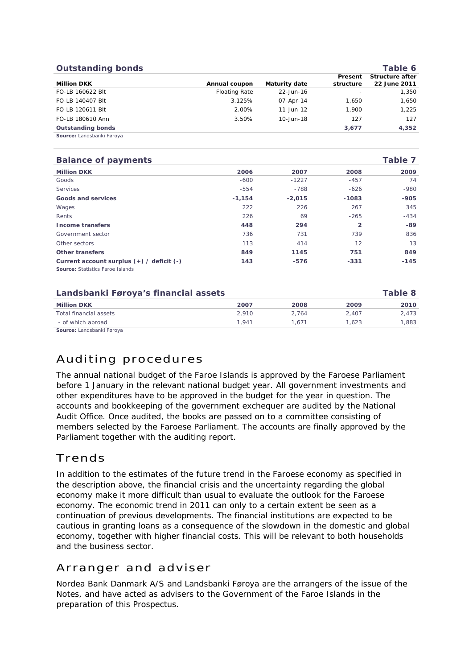| <b>Outstanding bonds</b>  |                      |                      |                          | Table 6                         |
|---------------------------|----------------------|----------------------|--------------------------|---------------------------------|
| <b>Million DKK</b>        | Annual coupon        | <b>Maturity date</b> | Present<br>structure     | Structure after<br>22 June 2011 |
| FO-LB 160622 Blt          | <b>Floating Rate</b> | 22-Jun-16            | $\overline{\phantom{a}}$ | 1,350                           |
| FO-LB 140407 Blt          | 3.125%               | 07-Apr-14            | 1.650                    | 1,650                           |
| FO-LB 120611 Blt          | 2.00%                | $11 - Jun - 12$      | 1.900                    | 1.225                           |
| FO-LB 180610 Ann          | 3.50%                | $10 - Jun - 18$      | 127                      | 127                             |
| <b>Outstanding bonds</b>  |                      |                      | 3,677                    | 4,352                           |
| Source: Landsbanki Førova |                      |                      |                          |                                 |

| <b>Balance of payments</b>                    |          |          |                | Table 7 |
|-----------------------------------------------|----------|----------|----------------|---------|
| <b>Million DKK</b>                            | 2006     | 2007     | 2008           | 2009    |
| Goods                                         | $-600$   | $-1227$  | $-457$         | 74      |
| <b>Services</b>                               | $-554$   | $-788$   | $-626$         | $-980$  |
| Goods and services                            | $-1,154$ | $-2.015$ | $-1083$        | $-905$  |
| Wages                                         | 222      | 226      | 267            | 345     |
| Rents                                         | 226      | 69       | $-265$         | $-434$  |
| <b>Income transfers</b>                       | 448      | 294      | $\overline{2}$ | -89     |
| Government sector                             | 736      | 731      | 739            | 836     |
| Other sectors                                 | 113      | 414      | 12             | 13      |
| Other transfers                               | 849      | 1145     | 751            | 849     |
| Current account surplus $(+)$ / deficit $(-)$ | 143      | $-576$   | $-331$         | $-145$  |
| <b>Source: Statistics Faroe Islands</b>       |          |          |                |         |

| Landsbanki Føroya's financial assets |       |       |       | Table 8 |
|--------------------------------------|-------|-------|-------|---------|
| <b>Million DKK</b>                   | 2007  | 2008  | 2009  | 2010    |
| Total financial assets               | 2.910 | 2.764 | 2.407 | 2.473   |
| - of which abroad                    | 1.941 | 1.671 | 1.623 | 1.883   |
| Source: Landsbanki Føroya            |       |       |       |         |

### Auditing procedures

The annual national budget of the Faroe Islands is approved by the Faroese Parliament before 1 January in the relevant national budget year. All government investments and other expenditures have to be approved in the budget for the year in question. The accounts and bookkeeping of the government exchequer are audited by the National Audit Office. Once audited, the books are passed on to a committee consisting of members selected by the Faroese Parliament. The accounts are finally approved by the Parliament together with the auditing report.

### Trends

In addition to the estimates of the future trend in the Faroese economy as specified in the description above, the financial crisis and the uncertainty regarding the global economy make it more difficult than usual to evaluate the outlook for the Faroese economy. The economic trend in 2011 can only to a certain extent be seen as a continuation of previous developments. The financial institutions are expected to be cautious in granting loans as a consequence of the slowdown in the domestic and global economy, together with higher financial costs. This will be relevant to both households and the business sector.

### Arranger and adviser

Nordea Bank Danmark A/S and Landsbanki Føroya are the arrangers of the issue of the Notes, and have acted as advisers to the Government of the Faroe Islands in the preparation of this Prospectus.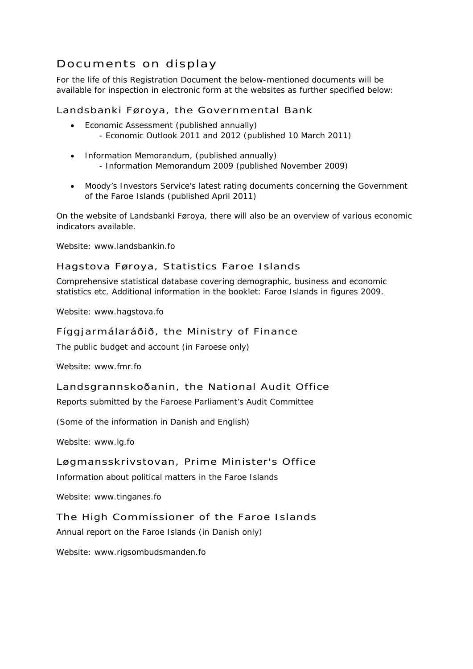### Documents on display

For the life of this Registration Document the below-mentioned documents will be available for inspection in electronic form at the websites as further specified below:

### Landsbanki Føroya, the Governmental Bank

- Economic Assessment (published annually) - Economic Outlook 2011 and 2012 (published 10 March 2011)
- Information Memorandum, (published annually) - Information Memorandum 2009 (published November 2009)
- Moody's Investors Service's latest rating documents concerning the Government of the Faroe Islands (published April 2011)

On the website of Landsbanki Føroya, there will also be an overview of various economic indicators available.

Website: www.landsbankin.fo

### Hagstova Føroya, Statistics Faroe Islands

Comprehensive statistical database covering demographic, business and economic statistics etc. Additional information in the booklet: Faroe Islands in figures 2009.

Website: www.hagstova.fo

### Fíggjarmálaráðið, the Ministry of Finance

The public budget and account (in Faroese only)

Website: www.fmr.fo

### Landsgrannskoðanin, the National Audit Office

Reports submitted by the Faroese Parliament's Audit Committee

(Some of the information in Danish and English)

Website: www.lg.fo

### Løgmansskrivstovan, Prime Minister's Office

Information about political matters in the Faroe Islands

Website: www.tinganes.fo

### The High Commissioner of the Faroe Islands

Annual report on the Faroe Islands (in Danish only)

Website: www.rigsombudsmanden.fo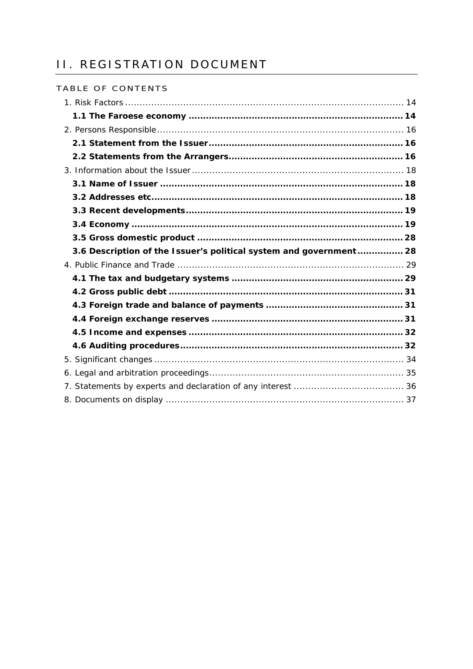### <span id="page-12-0"></span>II. REGISTRATION DOCUMENT

| TABLE OF CONTENTS                                                  |  |
|--------------------------------------------------------------------|--|
|                                                                    |  |
|                                                                    |  |
|                                                                    |  |
|                                                                    |  |
|                                                                    |  |
|                                                                    |  |
|                                                                    |  |
|                                                                    |  |
|                                                                    |  |
|                                                                    |  |
|                                                                    |  |
| 3.6 Description of the Issuer's political system and government 28 |  |
|                                                                    |  |
|                                                                    |  |
|                                                                    |  |
|                                                                    |  |
|                                                                    |  |
|                                                                    |  |
|                                                                    |  |
|                                                                    |  |
|                                                                    |  |
|                                                                    |  |
|                                                                    |  |
|                                                                    |  |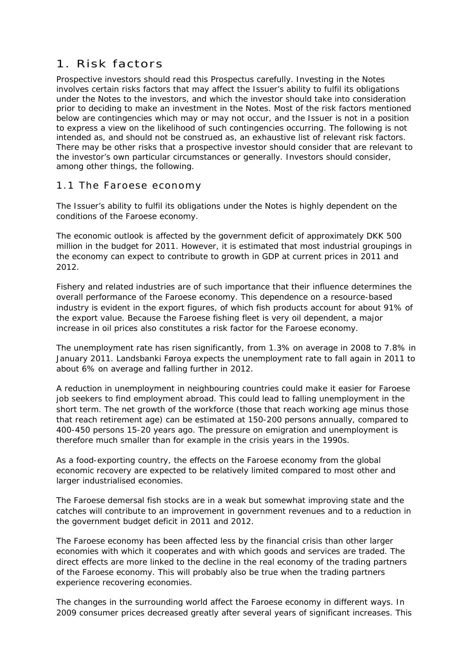### <span id="page-13-0"></span>1. Risk factors

Prospective investors should read this Prospectus carefully. Investing in the Notes involves certain risks factors that may affect the Issuer's ability to fulfil its obligations under the Notes to the investors, and which the investor should take into consideration prior to deciding to make an investment in the Notes. Most of the risk factors mentioned below are contingencies which may or may not occur, and the Issuer is not in a position to express a view on the likelihood of such contingencies occurring. The following is not intended as, and should not be construed as, an exhaustive list of relevant risk factors. There may be other risks that a prospective investor should consider that are relevant to the investor's own particular circumstances or generally. Investors should consider, among other things, the following.

### 1.1 The Faroese economy

The Issuer's ability to fulfil its obligations under the Notes is highly dependent on the conditions of the Faroese economy.

The economic outlook is affected by the government deficit of approximately DKK 500 million in the budget for 2011. However, it is estimated that most industrial groupings in the economy can expect to contribute to growth in GDP at current prices in 2011 and 2012.

Fishery and related industries are of such importance that their influence determines the overall performance of the Faroese economy. This dependence on a resource-based industry is evident in the export figures, of which fish products account for about 91% of the export value. Because the Faroese fishing fleet is very oil dependent, a major increase in oil prices also constitutes a risk factor for the Faroese economy.

The unemployment rate has risen significantly, from 1.3% on average in 2008 to 7.8% in January 2011. Landsbanki Føroya expects the unemployment rate to fall again in 2011 to about 6% on average and falling further in 2012.

A reduction in unemployment in neighbouring countries could make it easier for Faroese job seekers to find employment abroad. This could lead to falling unemployment in the short term. The net growth of the workforce (those that reach working age minus those that reach retirement age) can be estimated at 150-200 persons annually, compared to 400-450 persons 15-20 years ago. The pressure on emigration and unemployment is therefore much smaller than for example in the crisis years in the 1990s.

As a food-exporting country, the effects on the Faroese economy from the global economic recovery are expected to be relatively limited compared to most other and larger industrialised economies.

The Faroese demersal fish stocks are in a weak but somewhat improving state and the catches will contribute to an improvement in government revenues and to a reduction in the government budget deficit in 2011 and 2012.

The Faroese economy has been affected less by the financial crisis than other larger economies with which it cooperates and with which goods and services are traded. The direct effects are more linked to the decline in the real economy of the trading partners of the Faroese economy. This will probably also be true when the trading partners experience recovering economies.

The changes in the surrounding world affect the Faroese economy in different ways. In 2009 consumer prices decreased greatly after several years of significant increases. This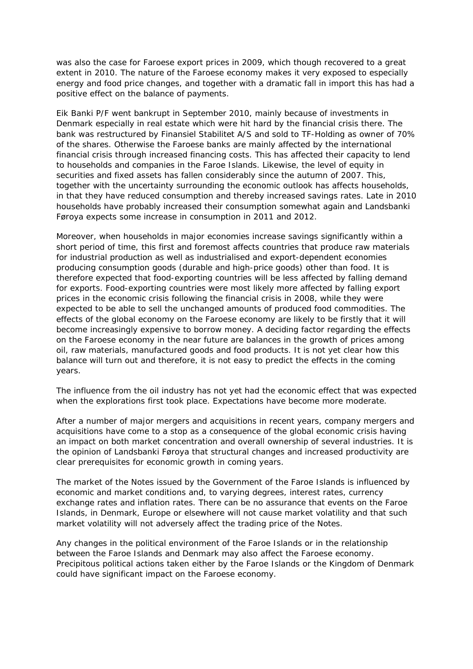was also the case for Faroese export prices in 2009, which though recovered to a great extent in 2010. The nature of the Faroese economy makes it very exposed to especially energy and food price changes, and together with a dramatic fall in import this has had a positive effect on the balance of payments.

Eik Banki P/F went bankrupt in September 2010, mainly because of investments in Denmark especially in real estate which were hit hard by the financial crisis there. The bank was restructured by Finansiel Stabilitet A/S and sold to TF-Holding as owner of 70% of the shares. Otherwise the Faroese banks are mainly affected by the international financial crisis through increased financing costs. This has affected their capacity to lend to households and companies in the Faroe Islands. Likewise, the level of equity in securities and fixed assets has fallen considerably since the autumn of 2007. This, together with the uncertainty surrounding the economic outlook has affects households, in that they have reduced consumption and thereby increased savings rates. Late in 2010 households have probably increased their consumption somewhat again and Landsbanki Føroya expects some increase in consumption in 2011 and 2012.

Moreover, when households in major economies increase savings significantly within a short period of time, this first and foremost affects countries that produce raw materials for industrial production as well as industrialised and export-dependent economies producing consumption goods (durable and high-price goods) other than food. It is therefore expected that food-exporting countries will be less affected by falling demand for exports. Food-exporting countries were most likely more affected by falling export prices in the economic crisis following the financial crisis in 2008, while they were expected to be able to sell the unchanged amounts of produced food commodities. The effects of the global economy on the Faroese economy are likely to be firstly that it will become increasingly expensive to borrow money. A deciding factor regarding the effects on the Faroese economy in the near future are balances in the growth of prices among oil, raw materials, manufactured goods and food products. It is not yet clear how this balance will turn out and therefore, it is not easy to predict the effects in the coming years.

The influence from the oil industry has not yet had the economic effect that was expected when the explorations first took place. Expectations have become more moderate.

After a number of major mergers and acquisitions in recent years, company mergers and acquisitions have come to a stop as a consequence of the global economic crisis having an impact on both market concentration and overall ownership of several industries. It is the opinion of Landsbanki Føroya that structural changes and increased productivity are clear prerequisites for economic growth in coming years.

The market of the Notes issued by the Government of the Faroe Islands is influenced by economic and market conditions and, to varying degrees, interest rates, currency exchange rates and inflation rates. There can be no assurance that events on the Faroe Islands, in Denmark, Europe or elsewhere will not cause market volatility and that such market volatility will not adversely affect the trading price of the Notes.

Any changes in the political environment of the Faroe Islands or in the relationship between the Faroe Islands and Denmark may also affect the Faroese economy. Precipitous political actions taken either by the Faroe Islands or the Kingdom of Denmark could have significant impact on the Faroese economy.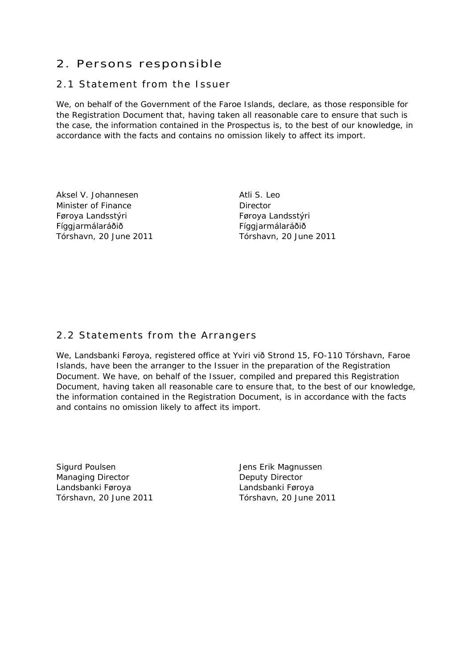### <span id="page-15-0"></span>2. Persons responsible

### 2.1 Statement from the Issuer

We, on behalf of the Government of the Faroe Islands, declare, as those responsible for the Registration Document that, having taken all reasonable care to ensure that such is the case, the information contained in the Prospectus is, to the best of our knowledge, in accordance with the facts and contains no omission likely to affect its import.

Aksel V. Johannesen Minister of Finance Føroya Landsstýri Fíggjarmálaráðið Tórshavn, 20 June 2011 Atli S. Leo **Director** Føroya Landsstýri Fíggjarmálaráðið Tórshavn, 20 June 2011

### 2.2 Statements from the Arrangers

We, Landsbanki Føroya, registered office at Yviri við Strond 15, FO-110 Tórshavn, Faroe Islands, have been the arranger to the Issuer in the preparation of the Registration Document. We have, on behalf of the Issuer, compiled and prepared this Registration Document, having taken all reasonable care to ensure that, to the best of our knowledge, the information contained in the Registration Document, is in accordance with the facts and contains no omission likely to affect its import.

Sigurd Poulsen Managing Director Landsbanki Føroya Tórshavn, 20 June 2011

Jens Erik Magnussen Deputy Director Landsbanki Føroya Tórshavn, 20 June 2011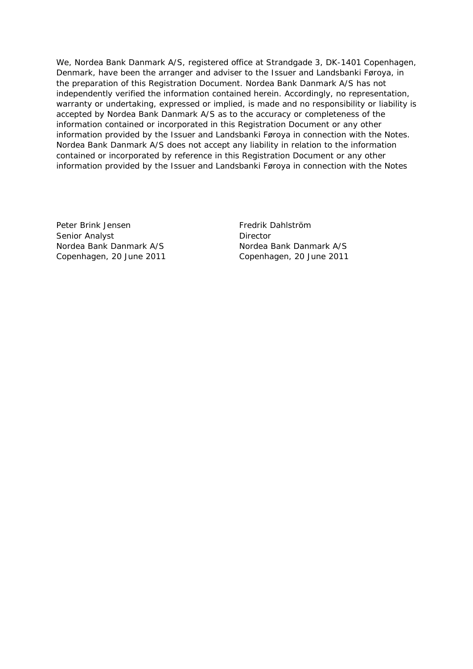We, Nordea Bank Danmark A/S, registered office at Strandgade 3, DK-1401 Copenhagen, Denmark, have been the arranger and adviser to the Issuer and Landsbanki Føroya, in the preparation of this Registration Document. Nordea Bank Danmark A/S has not independently verified the information contained herein. Accordingly, no representation, warranty or undertaking, expressed or implied, is made and no responsibility or liability is accepted by Nordea Bank Danmark A/S as to the accuracy or completeness of the information contained or incorporated in this Registration Document or any other information provided by the Issuer and Landsbanki Føroya in connection with the Notes. Nordea Bank Danmark A/S does not accept any liability in relation to the information contained or incorporated by reference in this Registration Document or any other information provided by the Issuer and Landsbanki Føroya in connection with the Notes

Peter Brink Jensen Senior Analyst Nordea Bank Danmark A/S Copenhagen, 20 June 2011 Fredrik Dahlström **Director** Nordea Bank Danmark A/S Copenhagen, 20 June 2011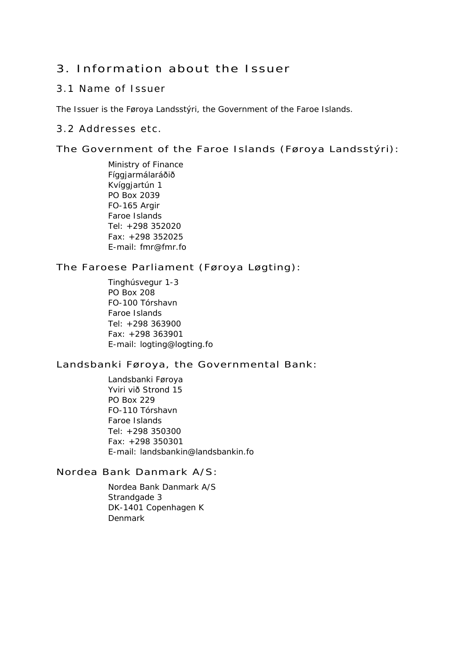### <span id="page-17-0"></span>3. Information about the Issuer

### 3.1 Name of Issuer

The Issuer is the Føroya Landsstýri, the Government of the Faroe Islands.

#### 3.2 Addresses etc.

#### The Government of the Faroe Islands (Føroya Landsstýri):

Ministry of Finance Fíggjarmálaráðið Kvíggjartún 1 PO Box 2039 FO-165 Argir Faroe Islands Tel: +298 352020 Fax: +298 352025 E-mail: fmr@fmr.fo

#### The Faroese Parliament (Føroya Løgting):

Tinghúsvegur 1-3 PO Box 208 FO-100 Tórshavn Faroe Islands Tel: +298 363900 Fax: +298 363901 E-mail: logting@logting.fo

### Landsbanki Føroya, the Governmental Bank:

Landsbanki Føroya Yviri við Strond 15 PO Box 229 FO-110 Tórshavn Faroe Islands Tel: +298 350300 Fax: +298 350301 E-mail: landsbankin@landsbankin.fo

### Nordea Bank Danmark A/S:

Nordea Bank Danmark A/S Strandgade 3 DK-1401 Copenhagen K Denmark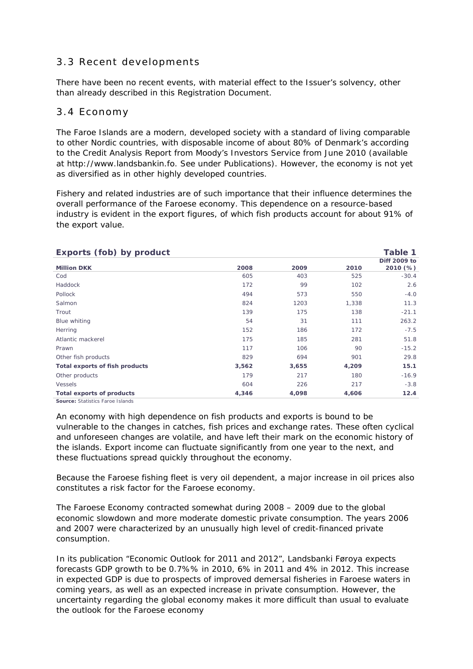### <span id="page-18-0"></span>3.3 Recent developments

There have been no recent events, with material effect to the Issuer's solvency, other than already described in this Registration Document.

### 3.4 Economy

The Faroe Islands are a modern, developed society with a standard of living comparable to other Nordic countries, with disposable income of about 80% of Denmark's according to the Credit Analysis Report from Moody's Investors Service from June 2010 (available at http://www.landsbankin.fo. See under Publications). However, the economy is not yet as diversified as in other highly developed countries.

Fishery and related industries are of such importance that their influence determines the overall performance of the Faroese economy. This dependence on a resource-based industry is evident in the export figures, of which fish products account for about 91% of the export value.

| Exports (fob) by product         |       |       |       | Table 1                  |
|----------------------------------|-------|-------|-------|--------------------------|
| <b>Million DKK</b>               | 2008  | 2009  | 2010  | Diff 2009 to<br>2010 (%) |
| Cod                              | 605   | 403   | 525   | $-30.4$                  |
| Haddock                          | 172   | 99    | 102   | 2.6                      |
| Pollock                          | 494   | 573   | 550   | $-4.0$                   |
| Salmon                           | 824   | 1203  | 1,338 | 11.3                     |
| Trout                            | 139   | 175   | 138   | $-21.1$                  |
| <b>Blue whiting</b>              | 54    | 31    | 111   | 263.2                    |
| Herring                          | 152   | 186   | 172   | $-7.5$                   |
| Atlantic mackerel                | 175   | 185   | 281   | 51.8                     |
| Prawn                            | 117   | 106   | 90    | $-15.2$                  |
| Other fish products              | 829   | 694   | 901   | 29.8                     |
| Total exports of fish products   | 3,562 | 3,655 | 4,209 | 15.1                     |
| Other products                   | 179   | 217   | 180   | $-16.9$                  |
| <b>Vessels</b>                   | 604   | 226   | 217   | $-3.8$                   |
| Total exports of products        | 4,346 | 4,098 | 4,606 | 12.4                     |
| Source: Statistics Faroe Islands |       |       |       |                          |

An economy with high dependence on fish products and exports is bound to be vulnerable to the changes in catches, fish prices and exchange rates. These often cyclical and unforeseen changes are volatile, and have left their mark on the economic history of the islands. Export income can fluctuate significantly from one year to the next, and these fluctuations spread quickly throughout the economy.

Because the Faroese fishing fleet is very oil dependent, a major increase in oil prices also constitutes a risk factor for the Faroese economy.

The Faroese Economy contracted somewhat during 2008 – 2009 due to the global economic slowdown and more moderate domestic private consumption. The years 2006 and 2007 were characterized by an unusually high level of credit-financed private consumption.

In its publication "Economic Outlook for 2011 and 2012", Landsbanki Føroya expects forecasts GDP growth to be 0.7%% in 2010, 6% in 2011 and 4% in 2012. This increase in expected GDP is due to prospects of improved demersal fisheries in Faroese waters in coming years, as well as an expected increase in private consumption. However, the uncertainty regarding the global economy makes it more difficult than usual to evaluate the outlook for the Faroese economy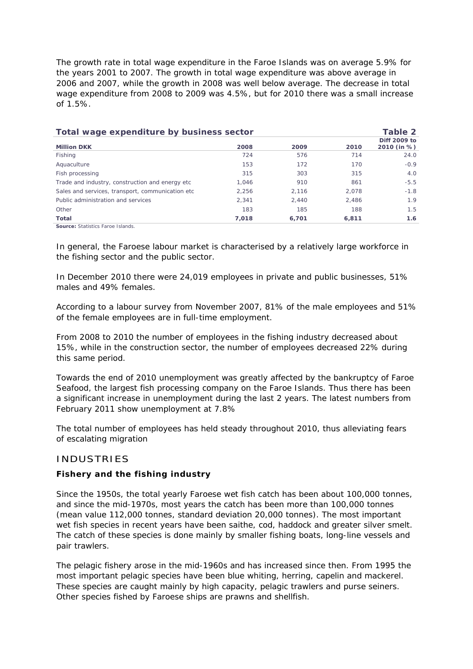The growth rate in total wage expenditure in the Faroe Islands was on average 5.9% for the years 2001 to 2007. The growth in total wage expenditure was above average in 2006 and 2007, while the growth in 2008 was well below average. The decrease in total wage expenditure from 2008 to 2009 was 4.5%, but for 2010 there was a small increase of 1.5%.

| Total wage expenditure by business sector         |       |       |       | Table 2                     |
|---------------------------------------------------|-------|-------|-------|-----------------------------|
| <b>Million DKK</b>                                | 2008  | 2009  | 2010  | Diff 2009 to<br>2010 (in %) |
| Fishing                                           | 724   | 576   | 714   | 24.0                        |
| Aquaculture                                       | 153   | 172   | 170   | $-0.9$                      |
| Fish processing                                   | 315   | 303   | 315   | 4.0                         |
| Trade and industry, construction and energy etc   | 1.046 | 910   | 861   | $-5.5$                      |
| Sales and services, transport, communication etc. | 2,256 | 2.116 | 2.078 | $-1.8$                      |
| Public administration and services                | 2.341 | 2.440 | 2.486 | 1.9                         |
| Other                                             | 183   | 185   | 188   | 1.5                         |
| Total                                             | 7,018 | 6,701 | 6,811 | 1.6                         |
| Source: Statistics Faroe Islands.                 |       |       |       |                             |

In general, the Faroese labour market is characterised by a relatively large workforce in the fishing sector and the public sector.

In December 2010 there were 24,019 employees in private and public businesses, 51% males and 49% females.

According to a labour survey from November 2007, 81% of the male employees and 51% of the female employees are in full-time employment.

From 2008 to 2010 the number of employees in the fishing industry decreased about 15%, while in the construction sector, the number of employees decreased 22% during this same period.

Towards the end of 2010 unemployment was greatly affected by the bankruptcy of Faroe Seafood, the largest fish processing company on the Faroe Islands. Thus there has been a significant increase in unemployment during the last 2 years. The latest numbers from February 2011 show unemployment at 7.8%

The total number of employees has held steady throughout 2010, thus alleviating fears of escalating migration

### INDUSTRIES

#### *Fishery and the fishing industry*

Since the 1950s, the total yearly Faroese wet fish catch has been about 100,000 tonnes, and since the mid-1970s, most years the catch has been more than 100,000 tonnes (mean value 112,000 tonnes, standard deviation 20,000 tonnes). The most important wet fish species in recent years have been saithe, cod, haddock and greater silver smelt. The catch of these species is done mainly by smaller fishing boats, long-line vessels and pair trawlers.

The pelagic fishery arose in the mid-1960s and has increased since then. From 1995 the most important pelagic species have been blue whiting, herring, capelin and mackerel. These species are caught mainly by high capacity, pelagic trawlers and purse seiners. Other species fished by Faroese ships are prawns and shellfish.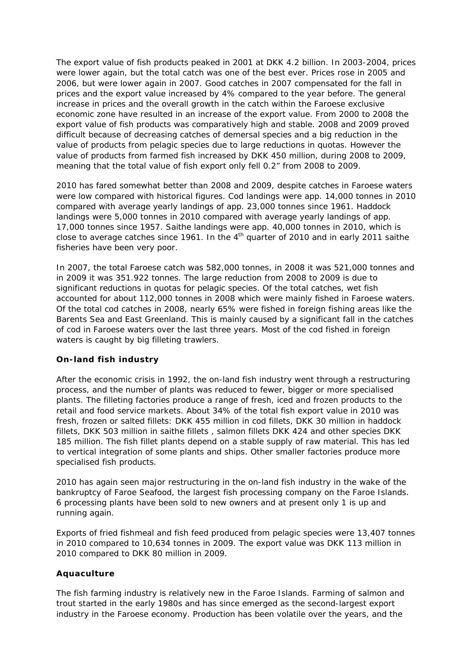The export value of fish products peaked in 2001 at DKK 4.2 billion. In 2003-2004, prices were lower again, but the total catch was one of the best ever. Prices rose in 2005 and 2006, but were lower again in 2007. Good catches in 2007 compensated for the fall in prices and the export value increased by 4% compared to the year before. The general increase in prices and the overall growth in the catch within the Faroese exclusive economic zone have resulted in an increase of the export value. From 2000 to 2008 the export value of fish products was comparatively high and stable. 2008 and 2009 proved difficult because of decreasing catches of demersal species and a big reduction in the value of products from pelagic species due to large reductions in quotas. However the value of products from farmed fish increased by DKK 450 million, during 2008 to 2009, meaning that the total value of fish export only fell 0.2" from 2008 to 2009.

2010 has fared somewhat better than 2008 and 2009, despite catches in Faroese waters were low compared with historical figures. Cod landings were app. 14,000 tonnes in 2010 compared with average yearly landings of app. 23,000 tonnes since 1961. Haddock landings were 5,000 tonnes in 2010 compared with average yearly landings of app. 17,000 tonnes since 1957. Saithe landings were app. 40,000 tonnes in 2010, which is close to average catches since 1961. In the  $4<sup>th</sup>$  quarter of 2010 and in early 2011 saithe fisheries have been very poor.

In 2007, the total Faroese catch was 582,000 tonnes, in 2008 it was 521,000 tonnes and in 2009 it was 351.922 tonnes. The large reduction from 2008 to 2009 is due to significant reductions in quotas for pelagic species. Of the total catches, wet fish accounted for about 112,000 tonnes in 2008 which were mainly fished in Faroese waters. Of the total cod catches in 2008, nearly 65% were fished in foreign fishing areas like the Barents Sea and East Greenland. This is mainly caused by a significant fall in the catches of cod in Faroese waters over the last three years. Most of the cod fished in foreign waters is caught by big filleting trawlers.

### *On-land fish industry*

After the economic crisis in 1992, the on-land fish industry went through a restructuring process, and the number of plants was reduced to fewer, bigger or more specialised plants. The filleting factories produce a range of fresh, iced and frozen products to the retail and food service markets. About 34% of the total fish export value in 2010 was fresh, frozen or salted fillets: DKK 455 million in cod fillets, DKK 30 million in haddock fillets, DKK 503 million in saithe fillets , salmon fillets DKK 424 and other species DKK 185 million. The fish fillet plants depend on a stable supply of raw material. This has led to vertical integration of some plants and ships. Other smaller factories produce more specialised fish products.

2010 has again seen major restructuring in the on-land fish industry in the wake of the bankruptcy of Faroe Seafood, the largest fish processing company on the Faroe Islands. 6 processing plants have been sold to new owners and at present only 1 is up and running again.

Exports of fried fishmeal and fish feed produced from pelagic species were 13,407 tonnes in 2010 compared to 10,634 tonnes in 2009. The export value was DKK 113 million in 2010 compared to DKK 80 million in 2009.

### *Aquaculture*

The fish farming industry is relatively new in the Faroe Islands. Farming of salmon and trout started in the early 1980s and has since emerged as the second-largest export industry in the Faroese economy. Production has been volatile over the years, and the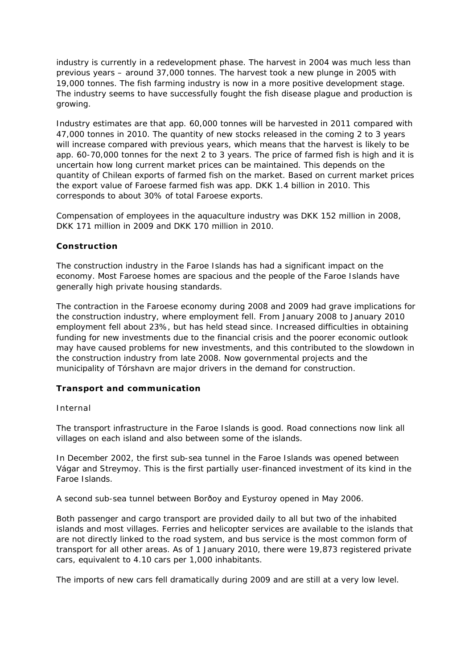industry is currently in a redevelopment phase. The harvest in 2004 was much less than previous years – around 37,000 tonnes. The harvest took a new plunge in 2005 with 19,000 tonnes. The fish farming industry is now in a more positive development stage. The industry seems to have successfully fought the fish disease plague and production is growing.

Industry estimates are that app. 60,000 tonnes will be harvested in 2011 compared with 47,000 tonnes in 2010. The quantity of new stocks released in the coming 2 to 3 years will increase compared with previous years, which means that the harvest is likely to be app. 60-70,000 tonnes for the next 2 to 3 years. The price of farmed fish is high and it is uncertain how long current market prices can be maintained. This depends on the quantity of Chilean exports of farmed fish on the market. Based on current market prices the export value of Faroese farmed fish was app. DKK 1.4 billion in 2010. This corresponds to about 30% of total Faroese exports.

Compensation of employees in the aquaculture industry was DKK 152 million in 2008, DKK 171 million in 2009 and DKK 170 million in 2010.

### *Construction*

The construction industry in the Faroe Islands has had a significant impact on the economy. Most Faroese homes are spacious and the people of the Faroe Islands have generally high private housing standards.

The contraction in the Faroese economy during 2008 and 2009 had grave implications for the construction industry, where employment fell. From January 2008 to January 2010 employment fell about 23%, but has held stead since. Increased difficulties in obtaining funding for new investments due to the financial crisis and the poorer economic outlook may have caused problems for new investments, and this contributed to the slowdown in the construction industry from late 2008. Now governmental projects and the municipality of Tórshavn are major drivers in the demand for construction.

#### *Transport and communication*

#### *Internal*

The transport infrastructure in the Faroe Islands is good. Road connections now link all villages on each island and also between some of the islands.

In December 2002, the first sub-sea tunnel in the Faroe Islands was opened between Vágar and Streymoy. This is the first partially user-financed investment of its kind in the Faroe Islands.

A second sub-sea tunnel between Borðoy and Eysturoy opened in May 2006.

Both passenger and cargo transport are provided daily to all but two of the inhabited islands and most villages. Ferries and helicopter services are available to the islands that are not directly linked to the road system, and bus service is the most common form of transport for all other areas. As of 1 January 2010, there were 19,873 registered private cars, equivalent to 4.10 cars per 1,000 inhabitants.

The imports of new cars fell dramatically during 2009 and are still at a very low level.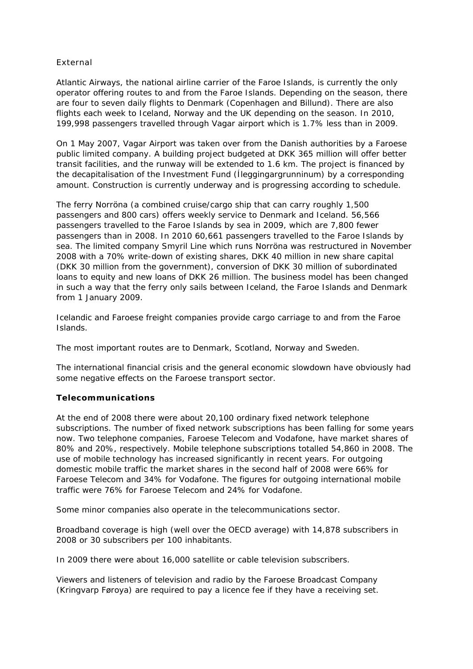#### *External*

Atlantic Airways, the national airline carrier of the Faroe Islands, is currently the only operator offering routes to and from the Faroe Islands. Depending on the season, there are four to seven daily flights to Denmark (Copenhagen and Billund). There are also flights each week to Iceland, Norway and the UK depending on the season. In 2010, 199,998 passengers travelled through Vagar airport which is 1.7% less than in 2009.

On 1 May 2007, Vagar Airport was taken over from the Danish authorities by a Faroese public limited company. A building project budgeted at DKK 365 million will offer better transit facilities, and the runway will be extended to 1.6 km. The project is financed by the decapitalisation of the Investment Fund (Íleggingargrunninum) by a corresponding amount. Construction is currently underway and is progressing according to schedule.

The ferry Norröna (a combined cruise/cargo ship that can carry roughly 1,500 passengers and 800 cars) offers weekly service to Denmark and Iceland. 56,566 passengers travelled to the Faroe Islands by sea in 2009, which are 7,800 fewer passengers than in 2008. In 2010 60,661 passengers travelled to the Faroe Islands by sea. The limited company Smyril Line which runs Norröna was restructured in November 2008 with a 70% write-down of existing shares, DKK 40 million in new share capital (DKK 30 million from the government), conversion of DKK 30 million of subordinated loans to equity and new loans of DKK 26 million. The business model has been changed in such a way that the ferry only sails between Iceland, the Faroe Islands and Denmark from 1 January 2009.

Icelandic and Faroese freight companies provide cargo carriage to and from the Faroe Islands.

The most important routes are to Denmark, Scotland, Norway and Sweden.

The international financial crisis and the general economic slowdown have obviously had some negative effects on the Faroese transport sector.

#### *Telecommunications*

At the end of 2008 there were about 20,100 ordinary fixed network telephone subscriptions. The number of fixed network subscriptions has been falling for some years now. Two telephone companies, Faroese Telecom and Vodafone, have market shares of 80% and 20%, respectively. Mobile telephone subscriptions totalled 54,860 in 2008. The use of mobile technology has increased significantly in recent years. For outgoing domestic mobile traffic the market shares in the second half of 2008 were 66% for Faroese Telecom and 34% for Vodafone. The figures for outgoing international mobile traffic were 76% for Faroese Telecom and 24% for Vodafone.

Some minor companies also operate in the telecommunications sector.

Broadband coverage is high (well over the OECD average) with 14,878 subscribers in 2008 or 30 subscribers per 100 inhabitants.

In 2009 there were about 16,000 satellite or cable television subscribers.

Viewers and listeners of television and radio by the Faroese Broadcast Company (Kringvarp Føroya) are required to pay a licence fee if they have a receiving set.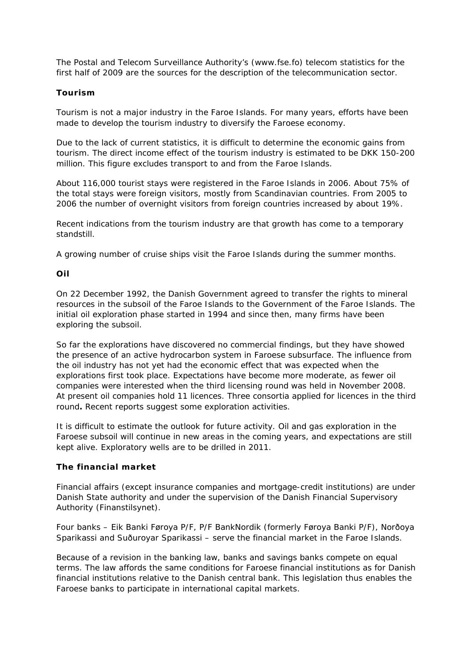The Postal and Telecom Surveillance Authority's (www.fse.fo) telecom statistics for the first half of 2009 are the sources for the description of the telecommunication sector.

#### *Tourism*

Tourism is not a major industry in the Faroe Islands. For many years, efforts have been made to develop the tourism industry to diversify the Faroese economy.

Due to the lack of current statistics, it is difficult to determine the economic gains from tourism. The direct income effect of the tourism industry is estimated to be DKK 150-200 million. This figure excludes transport to and from the Faroe Islands.

About 116,000 tourist stays were registered in the Faroe Islands in 2006. About 75% of the total stays were foreign visitors, mostly from Scandinavian countries. From 2005 to 2006 the number of overnight visitors from foreign countries increased by about 19%.

Recent indications from the tourism industry are that growth has come to a temporary standstill.

A growing number of cruise ships visit the Faroe Islands during the summer months.

#### *Oil*

On 22 December 1992, the Danish Government agreed to transfer the rights to mineral resources in the subsoil of the Faroe Islands to the Government of the Faroe Islands. The initial oil exploration phase started in 1994 and since then, many firms have been exploring the subsoil.

So far the explorations have discovered no commercial findings, but they have showed the presence of an active hydrocarbon system in Faroese subsurface. The influence from the oil industry has not yet had the economic effect that was expected when the explorations first took place. Expectations have become more moderate, as fewer oil companies were interested when the third licensing round was held in November 2008. At present oil companies hold 11 licences. Three consortia applied for licences in the third round**.** Recent reports suggest some exploration activities.

It is difficult to estimate the outlook for future activity. Oil and gas exploration in the Faroese subsoil will continue in new areas in the coming years, and expectations are still kept alive. Exploratory wells are to be drilled in 2011.

#### *The financial market*

Financial affairs (except insurance companies and mortgage-credit institutions) are under Danish State authority and under the supervision of the Danish Financial Supervisory Authority (Finanstilsynet).

Four banks – Eik Banki Føroya P/F, P/F BankNordik (formerly Føroya Banki P/F), Norðoya Sparikassi and Suðuroyar Sparikassi – serve the financial market in the Faroe Islands.

Because of a revision in the banking law, banks and savings banks compete on equal terms. The law affords the same conditions for Faroese financial institutions as for Danish financial institutions relative to the Danish central bank. This legislation thus enables the Faroese banks to participate in international capital markets.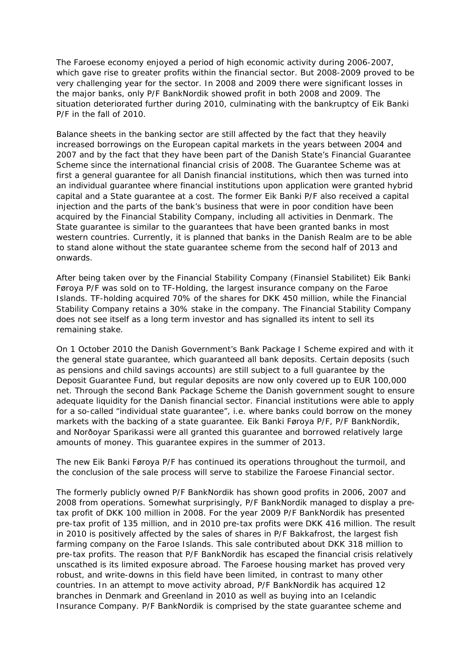The Faroese economy enjoyed a period of high economic activity during 2006-2007, which gave rise to greater profits within the financial sector. But 2008-2009 proved to be very challenging year for the sector. In 2008 and 2009 there were significant losses in the major banks, only P/F BankNordik showed profit in both 2008 and 2009. The situation deteriorated further during 2010, culminating with the bankruptcy of Eik Banki P/F in the fall of 2010.

Balance sheets in the banking sector are still affected by the fact that they heavily increased borrowings on the European capital markets in the years between 2004 and 2007 and by the fact that they have been part of the Danish State's Financial Guarantee Scheme since the international financial crisis of 2008. The Guarantee Scheme was at first a general guarantee for all Danish financial institutions, which then was turned into an individual guarantee where financial institutions upon application were granted hybrid capital and a State guarantee at a cost. The former Eik Banki P/F also received a capital injection and the parts of the bank's business that were in poor condition have been acquired by the Financial Stability Company, including all activities in Denmark. The State guarantee is similar to the guarantees that have been granted banks in most western countries. Currently, it is planned that banks in the Danish Realm are to be able to stand alone without the state guarantee scheme from the second half of 2013 and onwards.

After being taken over by the Financial Stability Company (Finansiel Stabilitet) Eik Banki Føroya P/F was sold on to TF-Holding, the largest insurance company on the Faroe Islands. TF-holding acquired 70% of the shares for DKK 450 million, while the Financial Stability Company retains a 30% stake in the company. The Financial Stability Company does not see itself as a long term investor and has signalled its intent to sell its remaining stake.

On 1 October 2010 the Danish Government's Bank Package I Scheme expired and with it the general state guarantee, which guaranteed all bank deposits. Certain deposits (such as pensions and child savings accounts) are still subject to a full guarantee by the Deposit Guarantee Fund, but regular deposits are now only covered up to EUR 100,000 net. Through the second Bank Package Scheme the Danish government sought to ensure adequate liquidity for the Danish financial sector. Financial institutions were able to apply for a so-called "individual state guarantee", i.e. where banks could borrow on the money markets with the backing of a state guarantee. Eik Banki Føroya P/F, P/F BankNordik, and Norðoyar Sparikassi were all granted this guarantee and borrowed relatively large amounts of money. This guarantee expires in the summer of 2013.

The new Eik Banki Føroya P/F has continued its operations throughout the turmoil, and the conclusion of the sale process will serve to stabilize the Faroese Financial sector.

The formerly publicly owned P/F BankNordik has shown good profits in 2006, 2007 and 2008 from operations. Somewhat surprisingly, P/F BankNordik managed to display a pretax profit of DKK 100 million in 2008. For the year 2009 P/F BankNordik has presented pre-tax profit of 135 million, and in 2010 pre-tax profits were DKK 416 million. The result in 2010 is positively affected by the sales of shares in P/F Bakkafrost, the largest fish farming company on the Faroe Islands. This sale contributed about DKK 318 million to pre-tax profits. The reason that P/F BankNordik has escaped the financial crisis relatively unscathed is its limited exposure abroad. The Faroese housing market has proved very robust, and write-downs in this field have been limited, in contrast to many other countries. In an attempt to move activity abroad, P/F BankNordik has acquired 12 branches in Denmark and Greenland in 2010 as well as buying into an Icelandic Insurance Company. P/F BankNordik is comprised by the state guarantee scheme and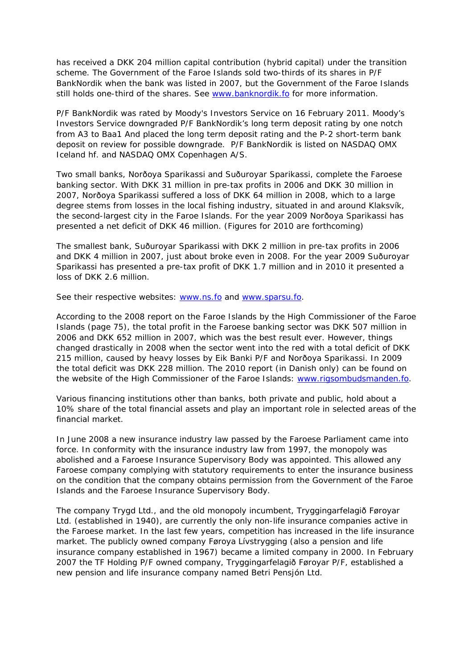has received a DKK 204 million capital contribution (hybrid capital) under the transition scheme. The Government of the Faroe Islands sold two-thirds of its shares in P/F BankNordik when the bank was listed in 2007, but the Government of the Faroe Islands still holds one-third of the shares. See [www.banknordik.fo](http://www.banknordik.fo/) for more information.

P/F BankNordik was rated by Moody's Investors Service on 16 February 2011. Moody's Investors Service downgraded P/F BankNordik's long term deposit rating by one notch from A3 to Baa1 And placed the long term deposit rating and the P-2 short-term bank deposit on review for possible downgrade. P/F BankNordik is listed on NASDAQ OMX Iceland hf. and NASDAQ OMX Copenhagen A/S.

Two small banks, Norðoya Sparikassi and Suðuroyar Sparikassi, complete the Faroese banking sector. With DKK 31 million in pre-tax profits in 2006 and DKK 30 million in 2007, Norðoya Sparikassi suffered a loss of DKK 64 million in 2008, which to a large degree stems from losses in the local fishing industry, situated in and around Klaksvík, the second-largest city in the Faroe Islands. For the year 2009 Norðoya Sparikassi has presented a net deficit of DKK 46 million. (Figures for 2010 are forthcoming)

The smallest bank, Suðuroyar Sparikassi with DKK 2 million in pre-tax profits in 2006 and DKK 4 million in 2007, just about broke even in 2008. For the year 2009 Suðuroyar Sparikassi has presented a pre-tax profit of DKK 1.7 million and in 2010 it presented a loss of DKK 2.6 million.

See their respective websites: [www.ns.fo](http://www.ns.fo/) and [www.sparsu.fo.](http://www.sparsu.fo/)

According to the 2008 report on the Faroe Islands by the High Commissioner of the Faroe Islands (page 75), the total profit in the Faroese banking sector was DKK 507 million in 2006 and DKK 652 million in 2007, which was the best result ever. However, things changed drastically in 2008 when the sector went into the red with a total deficit of DKK 215 million, caused by heavy losses by Eik Banki P/F and Norðoya Sparikassi. In 2009 the total deficit was DKK 228 million. The 2010 report (in Danish only) can be found on the website of the High Commissioner of the Faroe Islands: [www.rigsombudsmanden.fo.](http://www.rigsombudsmanden.fo/)

Various financing institutions other than banks, both private and public, hold about a 10% share of the total financial assets and play an important role in selected areas of the financial market.

In June 2008 a new insurance industry law passed by the Faroese Parliament came into force. In conformity with the insurance industry law from 1997, the monopoly was abolished and a Faroese Insurance Supervisory Body was appointed. This allowed any Faroese company complying with statutory requirements to enter the insurance business on the condition that the company obtains permission from the Government of the Faroe Islands and the Faroese Insurance Supervisory Body.

The company Trygd Ltd., and the old monopoly incumbent, Tryggingarfelagið Føroyar Ltd. (established in 1940), are currently the only non-life insurance companies active in the Faroese market. In the last few years, competition has increased in the life insurance market. The publicly owned company Føroya Lívstrygging (also a pension and life insurance company established in 1967) became a limited company in 2000. In February 2007 the TF Holding P/F owned company, Tryggingarfelagið Føroyar P/F, established a new pension and life insurance company named Betri Pensjón Ltd.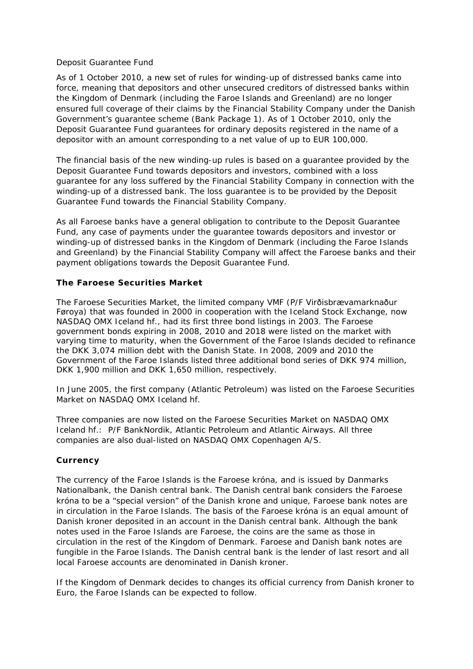#### *Deposit Guarantee Fund*

As of 1 October 2010, a new set of rules for winding-up of distressed banks came into force, meaning that depositors and other unsecured creditors of distressed banks within the Kingdom of Denmark (including the Faroe Islands and Greenland) are no longer ensured full coverage of their claims by the Financial Stability Company under the Danish Government's guarantee scheme (Bank Package 1). As of 1 October 2010, only the Deposit Guarantee Fund guarantees for ordinary deposits registered in the name of a depositor with an amount corresponding to a net value of up to EUR 100,000.

The financial basis of the new winding-up rules is based on a guarantee provided by the Deposit Guarantee Fund towards depositors and investors, combined with a loss guarantee for any loss suffered by the Financial Stability Company in connection with the winding-up of a distressed bank. The loss guarantee is to be provided by the Deposit Guarantee Fund towards the Financial Stability Company.

As all Faroese banks have a general obligation to contribute to the Deposit Guarantee Fund, any case of payments under the guarantee towards depositors and investor or winding-up of distressed banks in the Kingdom of Denmark (including the Faroe Islands and Greenland) by the Financial Stability Company will affect the Faroese banks and their payment obligations towards the Deposit Guarantee Fund.

### *The Faroese Securities Market*

The Faroese Securities Market, the limited company VMF (P/F Virðisbrævamarknaður Føroya) that was founded in 2000 in cooperation with the Iceland Stock Exchange, now NASDAQ OMX Iceland hf., had its first three bond listings in 2003. The Faroese government bonds expiring in 2008, 2010 and 2018 were listed on the market with varying time to maturity, when the Government of the Faroe Islands decided to refinance the DKK 3,074 million debt with the Danish State. In 2008, 2009 and 2010 the Government of the Faroe Islands listed three additional bond series of DKK 974 million, DKK 1,900 million and DKK 1,650 million, respectively.

In June 2005, the first company (Atlantic Petroleum) was listed on the Faroese Securities Market on NASDAQ OMX Iceland hf.

Three companies are now listed on the Faroese Securities Market on NASDAQ OMX Iceland hf.: P/F BankNordik, Atlantic Petroleum and Atlantic Airways. All three companies are also dual-listed on NASDAQ OMX Copenhagen A/S.

### *Currency*

The currency of the Faroe Islands is the Faroese króna, and is issued by Danmarks Nationalbank, the Danish central bank. The Danish central bank considers the Faroese króna to be a "special version" of the Danish krone and unique, Faroese bank notes are in circulation in the Faroe Islands. The basis of the Faroese króna is an equal amount of Danish kroner deposited in an account in the Danish central bank. Although the bank notes used in the Faroe Islands are Faroese, the coins are the same as those in circulation in the rest of the Kingdom of Denmark. Faroese and Danish bank notes are fungible in the Faroe Islands. The Danish central bank is the lender of last resort and all local Faroese accounts are denominated in Danish kroner.

If the Kingdom of Denmark decides to changes its official currency from Danish kroner to Euro, the Faroe Islands can be expected to follow.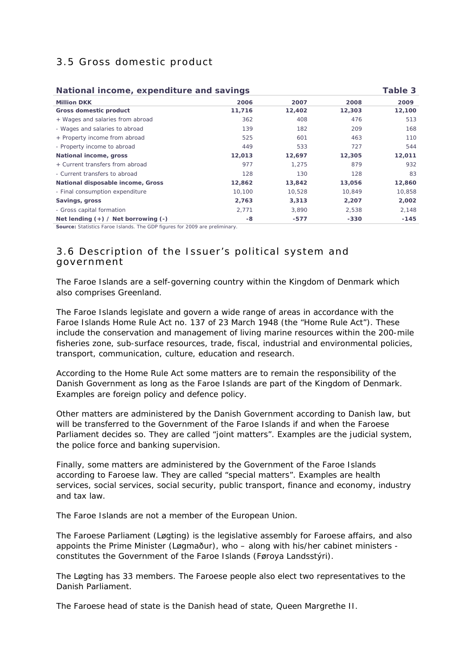### <span id="page-27-0"></span>3.5 Gross domestic product

#### **National income, expenditure and savings Table 3** Table 3

| <b>Million DKK</b>                      | 2006   | 2007   | 2008   | 2009   |
|-----------------------------------------|--------|--------|--------|--------|
| Gross domestic product                  | 11,716 | 12,402 | 12,303 | 12,100 |
| + Wages and salaries from abroad        | 362    | 408    | 476    | 513    |
| - Wages and salaries to abroad          | 139    | 182    | 209    | 168    |
| + Property income from abroad           | 525    | 601    | 463    | 110    |
| - Property income to abroad             | 449    | 533    | 727    | 544    |
| National income, gross                  | 12,013 | 12,697 | 12,305 | 12,011 |
| + Current transfers from abroad         | 977    | 1.275  | 879    | 932    |
| - Current transfers to abroad           | 128    | 130    | 128    | 83     |
| National disposable income, Gross       | 12,862 | 13,842 | 13,056 | 12,860 |
| - Final consumption expenditure         | 10,100 | 10,528 | 10,849 | 10,858 |
| Savings, gross                          | 2,763  | 3,313  | 2,207  | 2,002  |
| - Gross capital formation               | 2,771  | 3,890  | 2,538  | 2,148  |
| Net lending $(+)$ / Net borrowing $(-)$ | -8     | $-577$ | $-330$ | $-145$ |

**Source:** Statistics Faroe Islands. The GDP figures for 2009 are preliminary.

### 3.6 Description of the Issuer's political system and government

The Faroe Islands are a self-governing country within the Kingdom of Denmark which also comprises Greenland.

The Faroe Islands legislate and govern a wide range of areas in accordance with the Faroe Islands Home Rule Act no. 137 of 23 March 1948 (the "Home Rule Act"). These include the conservation and management of living marine resources within the 200-mile fisheries zone, sub-surface resources, trade, fiscal, industrial and environmental policies, transport, communication, culture, education and research.

According to the Home Rule Act some matters are to remain the responsibility of the Danish Government as long as the Faroe Islands are part of the Kingdom of Denmark. Examples are foreign policy and defence policy.

Other matters are administered by the Danish Government according to Danish law, but will be transferred to the Government of the Faroe Islands if and when the Faroese Parliament decides so. They are called "joint matters". Examples are the judicial system. the police force and banking supervision.

Finally, some matters are administered by the Government of the Faroe Islands according to Faroese law. They are called "special matters". Examples are health services, social services, social security, public transport, finance and economy, industry and tax law.

The Faroe Islands are not a member of the European Union.

The Faroese Parliament (Løgting) is the legislative assembly for Faroese affairs, and also appoints the Prime Minister (Løgmaður), who – along with his/her cabinet ministers constitutes the Government of the Faroe Islands (Føroya Landsstýri).

The Løgting has 33 members. The Faroese people also elect two representatives to the Danish Parliament.

The Faroese head of state is the Danish head of state, Queen Margrethe II.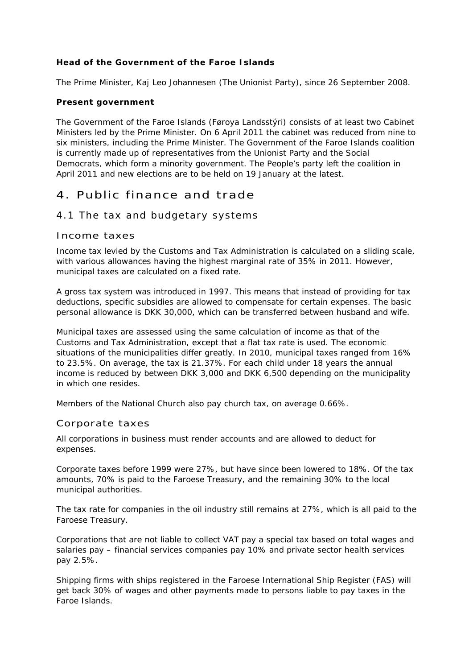#### <span id="page-28-0"></span>*Head of the Government of the Faroe Islands*

The Prime Minister, Kaj Leo Johannesen (The Unionist Party), since 26 September 2008.

#### *Present government*

The Government of the Faroe Islands (Føroya Landsstýri) consists of at least two Cabinet Ministers led by the Prime Minister. On 6 April 2011 the cabinet was reduced from nine to six ministers, including the Prime Minister. The Government of the Faroe Islands coalition is currently made up of representatives from the Unionist Party and the Social Democrats, which form a minority government. The People's party left the coalition in April 2011 and new elections are to be held on 19 January at the latest.

### 4. Public finance and trade

### 4.1 The tax and budgetary systems

#### Income taxes

Income tax levied by the Customs and Tax Administration is calculated on a sliding scale, with various allowances having the highest marginal rate of 35% in 2011. However, municipal taxes are calculated on a fixed rate.

A gross tax system was introduced in 1997. This means that instead of providing for tax deductions, specific subsidies are allowed to compensate for certain expenses. The basic personal allowance is DKK 30,000, which can be transferred between husband and wife.

Municipal taxes are assessed using the same calculation of income as that of the Customs and Tax Administration, except that a flat tax rate is used. The economic situations of the municipalities differ greatly. In 2010, municipal taxes ranged from 16% to 23.5%. On average, the tax is 21.37%. For each child under 18 years the annual income is reduced by between DKK 3,000 and DKK 6,500 depending on the municipality in which one resides.

Members of the National Church also pay church tax, on average 0.66%.

#### Corporate taxes

All corporations in business must render accounts and are allowed to deduct for expenses.

Corporate taxes before 1999 were 27%, but have since been lowered to 18%. Of the tax amounts, 70% is paid to the Faroese Treasury, and the remaining 30% to the local municipal authorities.

The tax rate for companies in the oil industry still remains at 27%, which is all paid to the Faroese Treasury.

Corporations that are not liable to collect VAT pay a special tax based on total wages and salaries pay – financial services companies pay 10% and private sector health services pay 2.5%.

Shipping firms with ships registered in the Faroese International Ship Register (FAS) will get back 30% of wages and other payments made to persons liable to pay taxes in the Faroe Islands.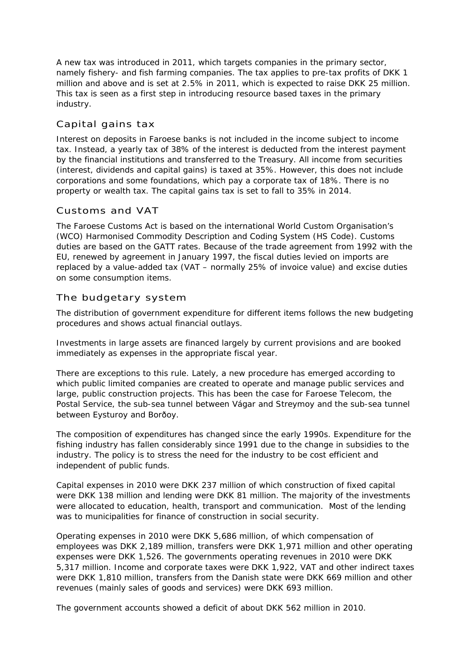A new tax was introduced in 2011, which targets companies in the primary sector, namely fishery- and fish farming companies. The tax applies to pre-tax profits of DKK 1 million and above and is set at 2.5% in 2011, which is expected to raise DKK 25 million. This tax is seen as a first step in introducing resource based taxes in the primary industry.

### Capital gains tax

Interest on deposits in Faroese banks is not included in the income subject to income tax. Instead, a yearly tax of 38% of the interest is deducted from the interest payment by the financial institutions and transferred to the Treasury. All income from securities (interest, dividends and capital gains) is taxed at 35%. However, this does not include corporations and some foundations, which pay a corporate tax of 18%. There is no property or wealth tax. The capital gains tax is set to fall to 35% in 2014.

### Customs and VAT

The Faroese Customs Act is based on the international World Custom Organisation's (WCO) Harmonised Commodity Description and Coding System (HS Code). Customs duties are based on the GATT rates. Because of the trade agreement from 1992 with the EU, renewed by agreement in January 1997, the fiscal duties levied on imports are replaced by a value-added tax (VAT – normally 25% of invoice value) and excise duties on some consumption items.

### The budgetary system

The distribution of government expenditure for different items follows the new budgeting procedures and shows actual financial outlays.

Investments in large assets are financed largely by current provisions and are booked immediately as expenses in the appropriate fiscal year.

There are exceptions to this rule. Lately, a new procedure has emerged according to which public limited companies are created to operate and manage public services and large, public construction projects. This has been the case for Faroese Telecom, the Postal Service, the sub-sea tunnel between Vágar and Streymoy and the sub-sea tunnel between Eysturoy and Borðoy.

The composition of expenditures has changed since the early 1990s. Expenditure for the fishing industry has fallen considerably since 1991 due to the change in subsidies to the industry. The policy is to stress the need for the industry to be cost efficient and independent of public funds.

Capital expenses in 2010 were DKK 237 million of which construction of fixed capital were DKK 138 million and lending were DKK 81 million. The majority of the investments were allocated to education, health, transport and communication. Most of the lending was to municipalities for finance of construction in social security.

Operating expenses in 2010 were DKK 5,686 million, of which compensation of employees was DKK 2,189 million, transfers were DKK 1,971 million and other operating expenses were DKK 1,526. The governments operating revenues in 2010 were DKK 5,317 million. Income and corporate taxes were DKK 1,922, VAT and other indirect taxes were DKK 1,810 million, transfers from the Danish state were DKK 669 million and other revenues (mainly sales of goods and services) were DKK 693 million.

The government accounts showed a deficit of about DKK 562 million in 2010.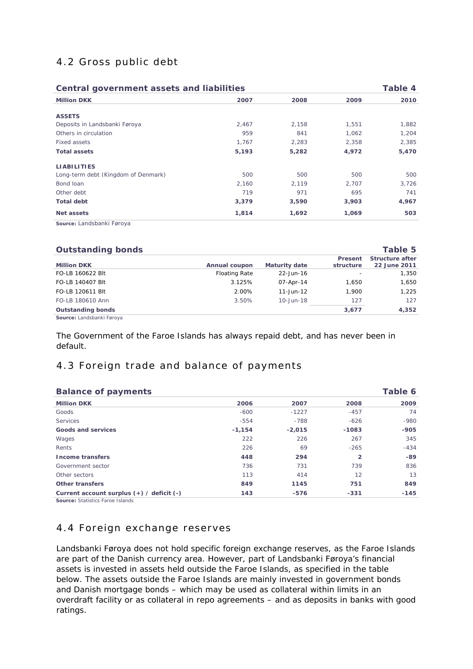### <span id="page-30-0"></span>4.2 Gross public debt

| <b>Central government assets and liabilities</b> |       |       |       | Table 4 |
|--------------------------------------------------|-------|-------|-------|---------|
| <b>Million DKK</b>                               | 2007  | 2008  | 2009  | 2010    |
| <b>ASSETS</b>                                    |       |       |       |         |
| Deposits in Landsbanki Føroya                    | 2,467 | 2,158 | 1,551 | 1,882   |
| Others in circulation                            | 959   | 841   | 1,062 | 1,204   |
| Fixed assets                                     | 1,767 | 2,283 | 2,358 | 2,385   |
| <b>Total assets</b>                              | 5,193 | 5,282 | 4,972 | 5,470   |
| <b>LIABILITIES</b>                               |       |       |       |         |
| Long-term debt (Kingdom of Denmark)              | 500   | 500   | 500   | 500     |
| Bond loan                                        | 2,160 | 2,119 | 2,707 | 3,726   |
| Other debt                                       | 719   | 971   | 695   | 741     |
| <b>Total debt</b>                                | 3,379 | 3,590 | 3,903 | 4,967   |
| Net assets                                       | 1,814 | 1,692 | 1,069 | 503     |

**Source:** Landsbanki Føroya

| <b>Outstanding bonds</b>  |                      |                      |                          | Table 5                                |
|---------------------------|----------------------|----------------------|--------------------------|----------------------------------------|
| <b>Million DKK</b>        | Annual coupon        | <b>Maturity date</b> | Present<br>structure     | <b>Structure after</b><br>22 June 2011 |
| FO-LB 160622 Blt          | <b>Floating Rate</b> | 22-Jun-16            | $\overline{\phantom{a}}$ | 1,350                                  |
| FO-LB 140407 Blt          | 3.125%               | 07-Apr-14            | 1,650                    | 1,650                                  |
| FO-LB 120611 Blt          | 2.00%                | $11 - Jun - 12$      | 1.900                    | 1,225                                  |
| FO-LB 180610 Ann          | 3.50%                | 10-Jun-18            | 127                      | 127                                    |
| <b>Outstanding bonds</b>  |                      |                      | 3,677                    | 4,352                                  |
| Source: Landsbanki Førova |                      |                      |                          |                                        |

The Government of the Faroe Islands has always repaid debt, and has never been in default.

### 4.3 Foreign trade and balance of payments

| <b>Balance of payments</b>                    |          |          |                | Table 6 |
|-----------------------------------------------|----------|----------|----------------|---------|
| <b>Million DKK</b>                            | 2006     | 2007     | 2008           | 2009    |
| Goods                                         | $-600$   | $-1227$  | $-457$         | 74      |
| <b>Services</b>                               | $-554$   | $-788$   | $-626$         | $-980$  |
| Goods and services                            | $-1,154$ | $-2,015$ | $-1083$        | $-905$  |
| Wages                                         | 222      | 226      | 267            | 345     |
| Rents                                         | 226      | 69       | $-265$         | $-434$  |
| Income transfers                              | 448      | 294      | $\overline{2}$ | -89     |
| Government sector                             | 736      | 731      | 739            | 836     |
| Other sectors                                 | 113      | 414      | 12             | 13      |
| Other transfers                               | 849      | 1145     | 751            | 849     |
| Current account surplus $(+)$ / deficit $(-)$ | 143      | $-576$   | $-331$         | $-145$  |

**Source: Statistics Faroe Islands** 

### 4.4 Foreign exchange reserves

Landsbanki Føroya does not hold specific foreign exchange reserves, as the Faroe Islands are part of the Danish currency area. However, part of Landsbanki Føroya's financial assets is invested in assets held outside the Faroe Islands, as specified in the table below. The assets outside the Faroe Islands are mainly invested in government bonds and Danish mortgage bonds – which may be used as collateral within limits in an overdraft facility or as collateral in repo agreements – and as deposits in banks with good ratings.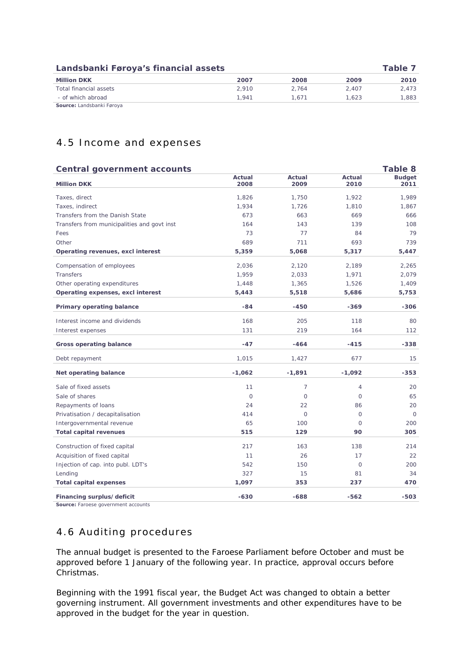<span id="page-31-0"></span>

| Landsbanki Føroya's financial assets |       |       | Table 7 |       |
|--------------------------------------|-------|-------|---------|-------|
| <b>Million DKK</b>                   | 2007  | 2008  | 2009    | 2010  |
| Total financial assets               | 2.910 | 2.764 | 2.407   | 2.473 |
| - of which abroad                    | 1.941 | 1.671 | 1.623   | 1.883 |
| Source: Landsbanki Føroya            |       |       |         |       |

### 4.5 Income and expenses

#### **Central government accounts** Table 8

| <b>Million DKK</b>                          | Actual<br>2008 | Actual<br>2009 | Actual<br>2010 | <b>Budget</b><br>2011 |
|---------------------------------------------|----------------|----------------|----------------|-----------------------|
| Taxes, direct                               | 1,826          | 1,750          | 1,922          | 1.989                 |
| Taxes, indirect                             | 1,934          | 1,726          | 1,810          | 1,867                 |
| Transfers from the Danish State             | 673            | 663            | 669            | 666                   |
| Transfers from municipalities and govt inst | 164            | 143            | 139            | 108                   |
| Fees                                        | 73             | 77             | 84             | 79                    |
| Other                                       | 689            | 711            | 693            | 739                   |
| Operating revenues, excl interest           | 5,359          | 5,068          | 5,317          | 5,447                 |
| Compensation of employees                   | 2.036          | 2.120          | 2,189          | 2,265                 |
| <b>Transfers</b>                            | 1,959          | 2,033          | 1,971          | 2,079                 |
| Other operating expenditures                | 1,448          | 1,365          | 1,526          | 1,409                 |
| Operating expenses, excl interest           | 5,443          | 5,518          | 5,686          | 5,753                 |
| Primary operating balance                   | $-84$          | $-450$         | $-369$         | $-306$                |
| Interest income and dividends               | 168            | 205            | 118            | 80                    |
| Interest expenses                           | 131            | 219            | 164            | 112                   |
| <b>Gross operating balance</b>              | $-47$          | $-464$         | $-415$         | $-338$                |
| Debt repayment                              | 1,015          | 1,427          | 677            | 15                    |
| Net operating balance                       | $-1,062$       | $-1,891$       | $-1,092$       | $-353$                |
| Sale of fixed assets                        | 11             | $\overline{7}$ | 4              | 20                    |
| Sale of shares                              | $\circ$        | $\circ$        | $\circ$        | 65                    |
| Repayments of loans                         | 24             | 22             | 86             | 20                    |
| Privatisation / decapitalisation            | 414            | $\Omega$       | $\circ$        | $\circ$               |
| Intergovernmental revenue                   | 65             | 100            | $\circ$        | 200                   |
| <b>Total capital revenues</b>               | 515            | 129            | 90             | 305                   |
| Construction of fixed capital               | 217            | 163            | 138            | 214                   |
| Acquisition of fixed capital                | 11             | 26             | 17             | 22                    |
| Injection of cap. into publ. LDT's          | 542            | 150            | $\circ$        | 200                   |
| Lending                                     | 327            | 15             | 81             | 34                    |
| <b>Total capital expenses</b>               | 1,097          | 353            | 237            | 470                   |
| Financing surplus/deficit                   | $-630$         | $-688$         | $-562$         | $-503$                |

**Source:** Faroese government accounts

### 4.6 Auditing procedures

The annual budget is presented to the Faroese Parliament before October and must be approved before 1 January of the following year. In practice, approval occurs before Christmas.

Beginning with the 1991 fiscal year, the Budget Act was changed to obtain a better governing instrument. All government investments and other expenditures have to be approved in the budget for the year in question.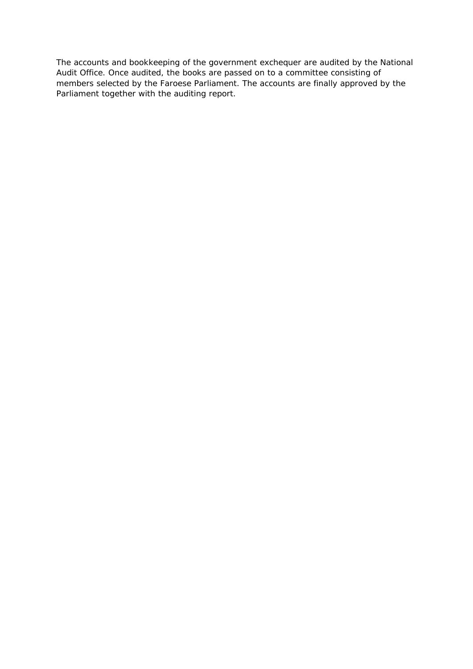The accounts and bookkeeping of the government exchequer are audited by the National Audit Office. Once audited, the books are passed on to a committee consisting of members selected by the Faroese Parliament. The accounts are finally approved by the Parliament together with the auditing report.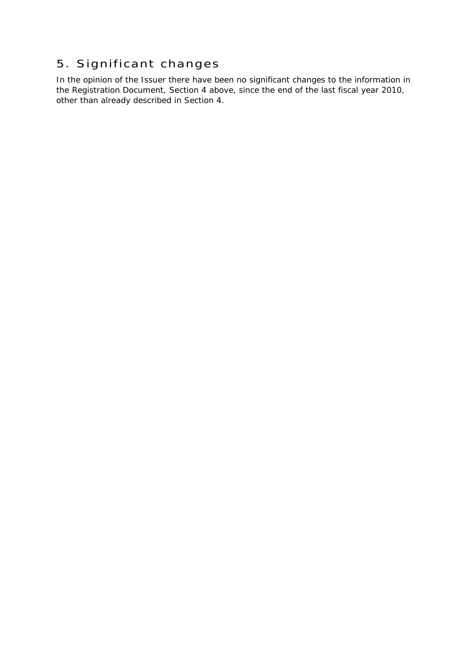### <span id="page-33-0"></span>5. Significant changes

In the opinion of the Issuer there have been no significant changes to the information in the Registration Document, Section 4 above, since the end of the last fiscal year 2010, other than already described in Section 4.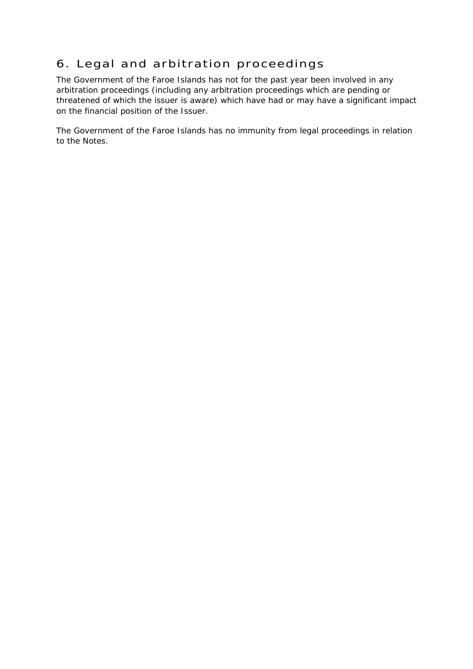### <span id="page-34-0"></span>6. Legal and arbitration proceedings

The Government of the Faroe Islands has not for the past year been involved in any arbitration proceedings (including any arbitration proceedings which are pending or threatened of which the issuer is aware) which have had or may have a significant impact on the financial position of the Issuer.

The Government of the Faroe Islands has no immunity from legal proceedings in relation to the Notes.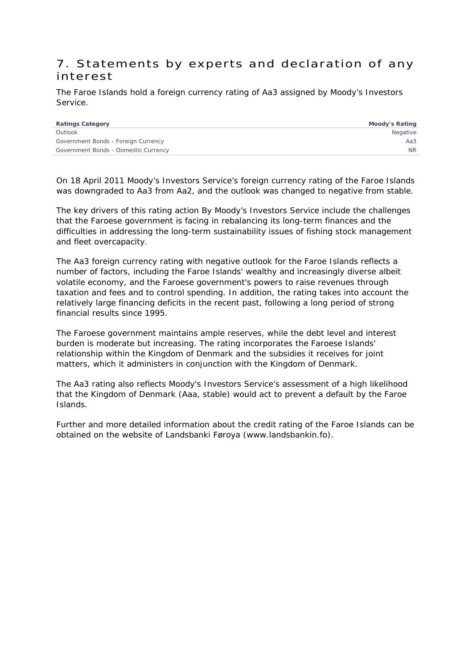### <span id="page-35-0"></span>7. Statements by experts and declaration of any interest

The Faroe Islands hold a foreign currency rating of Aa3 assigned by Moody's Investors Service.

| <b>Ratings Category</b>              | Moody's Rating |
|--------------------------------------|----------------|
| Outlook                              | Negative       |
| Government Bonds - Foreign Currency  | Aa3            |
| Government Bonds - Domestic Currency | NR.            |

On 18 April 2011 Moody's Investors Service's foreign currency rating of the Faroe Islands was downgraded to Aa3 from Aa2, and the outlook was changed to negative from stable.

The key drivers of this rating action By Moody's Investors Service include the challenges that the Faroese government is facing in rebalancing its long-term finances and the difficulties in addressing the long-term sustainability issues of fishing stock management and fleet overcapacity.

The Aa3 foreign currency rating with negative outlook for the Faroe Islands reflects a number of factors, including the Faroe Islands' wealthy and increasingly diverse albeit volatile economy, and the Faroese government's powers to raise revenues through taxation and fees and to control spending. In addition, the rating takes into account the relatively large financing deficits in the recent past, following a long period of strong financial results since 1995.

The Faroese government maintains ample reserves, while the debt level and interest burden is moderate but increasing. The rating incorporates the Faroese Islands' relationship within the Kingdom of Denmark and the subsidies it receives for joint matters, which it administers in conjunction with the Kingdom of Denmark.

The Aa3 rating also reflects Moody's Investors Service's assessment of a high likelihood that the Kingdom of Denmark (Aaa, stable) would act to prevent a default by the Faroe Islands.

Further and more detailed information about the credit rating of the Faroe Islands can be obtained on the website of Landsbanki Føroya (www.landsbankin.fo).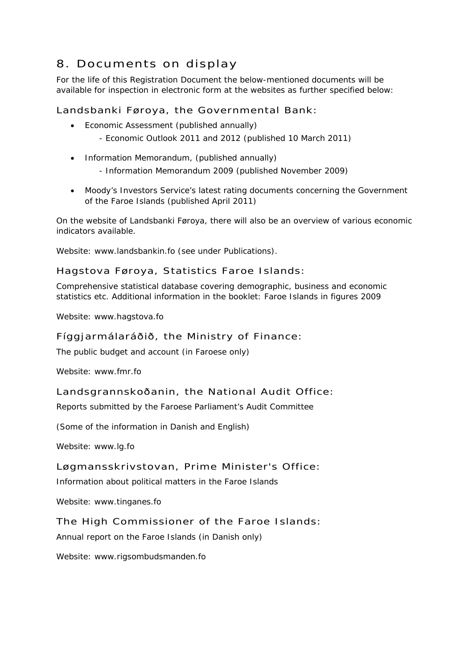### <span id="page-36-0"></span>8. Documents on display

For the life of this Registration Document the below-mentioned documents will be available for inspection in electronic form at the websites as further specified below:

### Landsbanki Føroya, the Governmental Bank:

- Economic Assessment (published annually)
	- Economic Outlook 2011 and 2012 (published 10 March 2011)
- Information Memorandum, (published annually)
	- Information Memorandum 2009 (published November 2009)
- Moody's Investors Service's latest rating documents concerning the Government of the Faroe Islands (published April 2011)

On the website of Landsbanki Føroya, there will also be an overview of various economic indicators available.

Website: www.landsbankin.fo (see under Publications).

### Hagstova Føroya, Statistics Faroe Islands:

Comprehensive statistical database covering demographic, business and economic statistics etc. Additional information in the booklet: Faroe Islands in figures 2009

Website: www.hagstova.fo

### Fíggjarmálaráðið, the Ministry of Finance:

The public budget and account (in Faroese only)

Website: www.fmr.fo

### Landsgrannskoðanin, the National Audit Office:

Reports submitted by the Faroese Parliament's Audit Committee

(Some of the information in Danish and English)

Website: www.lg.fo

### Løgmansskrivstovan, Prime Minister's Office:

Information about political matters in the Faroe Islands

Website: www.tinganes.fo

### The High Commissioner of the Faroe Islands:

Annual report on the Faroe Islands (in Danish only)

Website: www.rigsombudsmanden.fo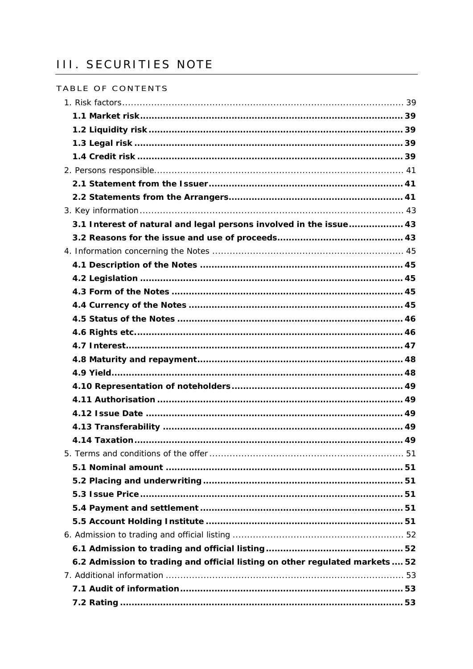### <span id="page-37-0"></span>**III. SECURITIES NOTE**

| TABLE OF CONTENTS                                                            |  |
|------------------------------------------------------------------------------|--|
|                                                                              |  |
|                                                                              |  |
|                                                                              |  |
|                                                                              |  |
|                                                                              |  |
|                                                                              |  |
|                                                                              |  |
|                                                                              |  |
|                                                                              |  |
| 3.1 Interest of natural and legal persons involved in the issue 43           |  |
|                                                                              |  |
|                                                                              |  |
|                                                                              |  |
|                                                                              |  |
|                                                                              |  |
|                                                                              |  |
|                                                                              |  |
|                                                                              |  |
|                                                                              |  |
|                                                                              |  |
|                                                                              |  |
|                                                                              |  |
|                                                                              |  |
|                                                                              |  |
|                                                                              |  |
|                                                                              |  |
|                                                                              |  |
|                                                                              |  |
|                                                                              |  |
|                                                                              |  |
|                                                                              |  |
|                                                                              |  |
|                                                                              |  |
|                                                                              |  |
| 6.2 Admission to trading and official listing on other regulated markets  52 |  |
|                                                                              |  |
|                                                                              |  |
|                                                                              |  |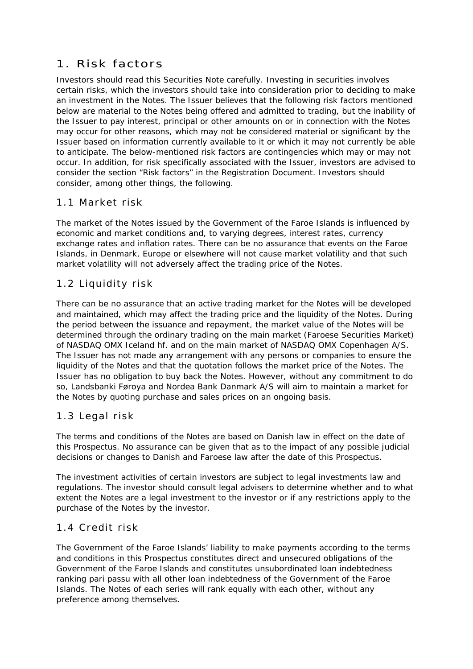### <span id="page-38-0"></span>1. Risk factors

Investors should read this Securities Note carefully. Investing in securities involves certain risks, which the investors should take into consideration prior to deciding to make an investment in the Notes. The Issuer believes that the following risk factors mentioned below are material to the Notes being offered and admitted to trading, but the inability of the Issuer to pay interest, principal or other amounts on or in connection with the Notes may occur for other reasons, which may not be considered material or significant by the Issuer based on information currently available to it or which it may not currently be able to anticipate. The below-mentioned risk factors are contingencies which may or may not occur. In addition, for risk specifically associated with the Issuer, investors are advised to consider the section "Risk factors" in the Registration Document. Investors should consider, among other things, the following.

### 1.1 Market risk

The market of the Notes issued by the Government of the Faroe Islands is influenced by economic and market conditions and, to varying degrees, interest rates, currency exchange rates and inflation rates. There can be no assurance that events on the Faroe Islands, in Denmark, Europe or elsewhere will not cause market volatility and that such market volatility will not adversely affect the trading price of the Notes.

### 1.2 Liquidity risk

There can be no assurance that an active trading market for the Notes will be developed and maintained, which may affect the trading price and the liquidity of the Notes. During the period between the issuance and repayment, the market value of the Notes will be determined through the ordinary trading on the main market (Faroese Securities Market) of NASDAQ OMX Iceland hf. and on the main market of NASDAQ OMX Copenhagen A/S. The Issuer has not made any arrangement with any persons or companies to ensure the liquidity of the Notes and that the quotation follows the market price of the Notes. The Issuer has no obligation to buy back the Notes. However, without any commitment to do so, Landsbanki Føroya and Nordea Bank Danmark A/S will aim to maintain a market for the Notes by quoting purchase and sales prices on an ongoing basis.

### 1.3 Legal risk

The terms and conditions of the Notes are based on Danish law in effect on the date of this Prospectus. No assurance can be given that as to the impact of any possible judicial decisions or changes to Danish and Faroese law after the date of this Prospectus.

The investment activities of certain investors are subject to legal investments law and regulations. The investor should consult legal advisers to determine whether and to what extent the Notes are a legal investment to the investor or if any restrictions apply to the purchase of the Notes by the investor.

### 1.4 Credit risk

The Government of the Faroe Islands' liability to make payments according to the terms and conditions in this Prospectus constitutes direct and unsecured obligations of the Government of the Faroe Islands and constitutes unsubordinated loan indebtedness ranking pari passu with all other loan indebtedness of the Government of the Faroe Islands. The Notes of each series will rank equally with each other, without any preference among themselves.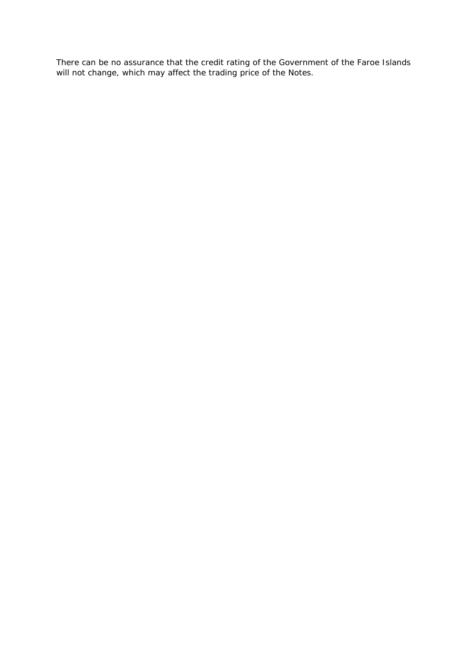There can be no assurance that the credit rating of the Government of the Faroe Islands will not change, which may affect the trading price of the Notes.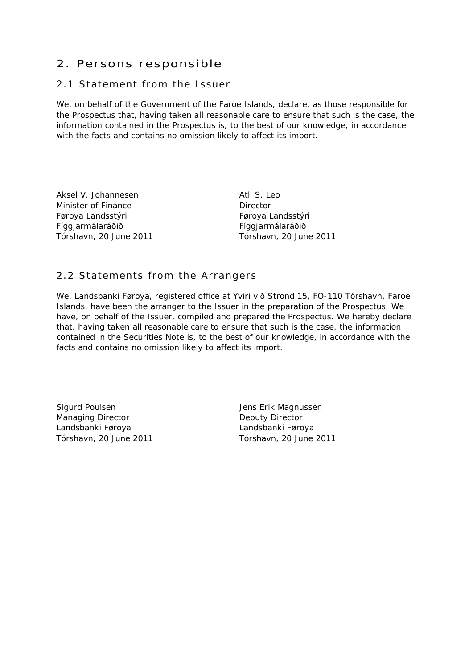### <span id="page-40-0"></span>2. Persons responsible

### 2.1 Statement from the Issuer

We, on behalf of the Government of the Faroe Islands, declare, as those responsible for the Prospectus that, having taken all reasonable care to ensure that such is the case, the information contained in the Prospectus is, to the best of our knowledge, in accordance with the facts and contains no omission likely to affect its import.

Aksel V. Johannesen Minister of Finance Føroya Landsstýri Fíggjarmálaráðið Tórshavn, 20 June 2011 Atli S. Leo **Director** Føroya Landsstýri Fíggjarmálaráðið Tórshavn, 20 June 2011

### 2.2 Statements from the Arrangers

We, Landsbanki Føroya, registered office at Yviri við Strond 15, FO-110 Tórshavn, Faroe Islands, have been the arranger to the Issuer in the preparation of the Prospectus. We have, on behalf of the Issuer, compiled and prepared the Prospectus. We hereby declare that, having taken all reasonable care to ensure that such is the case, the information contained in the Securities Note is, to the best of our knowledge, in accordance with the facts and contains no omission likely to affect its import.

Sigurd Poulsen Managing Director Landsbanki Føroya Tórshavn, 20 June 2011 Jens Erik Magnussen Deputy Director Landsbanki Føroya Tórshavn, 20 June 2011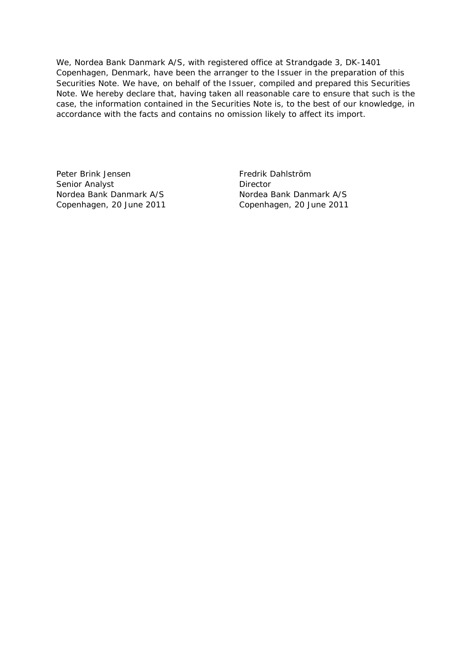We, Nordea Bank Danmark A/S, with registered office at Strandgade 3, DK-1401 Copenhagen, Denmark, have been the arranger to the Issuer in the preparation of this Securities Note. We have, on behalf of the Issuer, compiled and prepared this Securities Note. We hereby declare that, having taken all reasonable care to ensure that such is the case, the information contained in the Securities Note is, to the best of our knowledge, in accordance with the facts and contains no omission likely to affect its import.

Peter Brink Jensen Senior Analyst Nordea Bank Danmark A/S Copenhagen, 20 June 2011

Fredrik Dahlström **Director** Nordea Bank Danmark A/S Copenhagen, 20 June 2011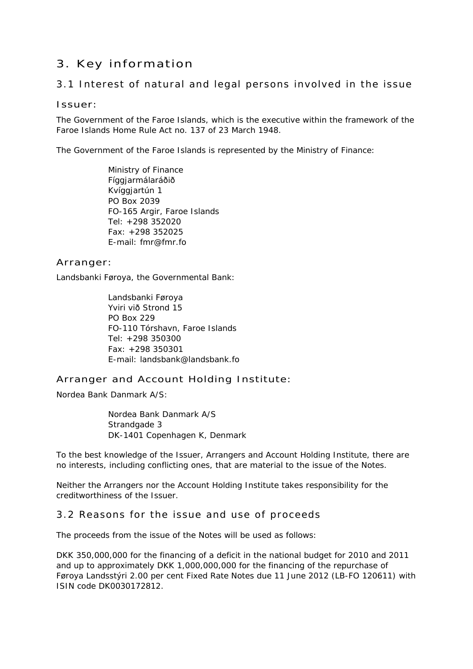### <span id="page-42-0"></span>3. Key information

### 3.1 Interest of natural and legal persons involved in the issue

### Issuer:

The Government of the Faroe Islands, which is the executive within the framework of the Faroe Islands Home Rule Act no. 137 of 23 March 1948.

The Government of the Faroe Islands is represented by the Ministry of Finance:

Ministry of Finance Fíggjarmálaráðið Kvíggjartún 1 PO Box 2039 FO-165 Argir, Faroe Islands Tel: +298 352020 Fax: +298 352025 E-mail: fmr@fmr.fo

### Arranger:

Landsbanki Føroya, the Governmental Bank:

Landsbanki Føroya Yviri við Strond 15 PO Box 229 FO-110 Tórshavn, Faroe Islands Tel: +298 350300 Fax: +298 350301 E-mail: landsbank@landsbank.fo

### Arranger and Account Holding Institute:

Nordea Bank Danmark A/S:

Nordea Bank Danmark A/S Strandgade 3 DK-1401 Copenhagen K, Denmark

To the best knowledge of the Issuer, Arrangers and Account Holding Institute, there are no interests, including conflicting ones, that are material to the issue of the Notes.

Neither the Arrangers nor the Account Holding Institute takes responsibility for the creditworthiness of the Issuer.

### 3.2 Reasons for the issue and use of proceeds

The proceeds from the issue of the Notes will be used as follows:

DKK 350,000,000 for the financing of a deficit in the national budget for 2010 and 2011 and up to approximately DKK 1,000,000,000 for the financing of the repurchase of Føroya Landsstýri 2.00 per cent Fixed Rate Notes due 11 June 2012 (LB-FO 120611) with ISIN code DK0030172812.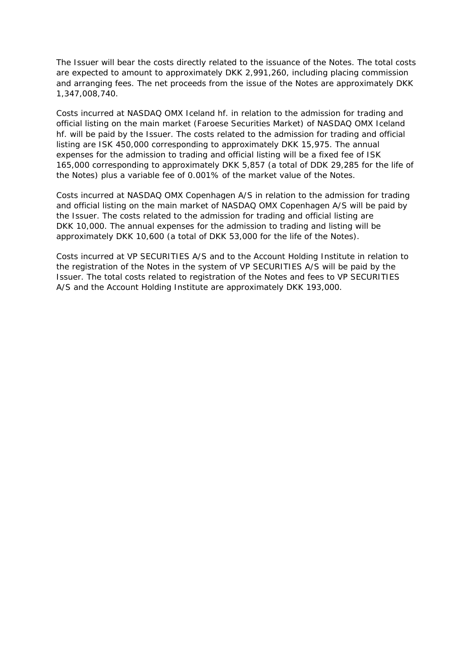The Issuer will bear the costs directly related to the issuance of the Notes. The total costs are expected to amount to approximately DKK 2,991,260, including placing commission and arranging fees. The net proceeds from the issue of the Notes are approximately DKK 1,347,008,740.

Costs incurred at NASDAQ OMX Iceland hf. in relation to the admission for trading and official listing on the main market (Faroese Securities Market) of NASDAQ OMX Iceland hf. will be paid by the Issuer. The costs related to the admission for trading and official listing are ISK 450,000 corresponding to approximately DKK 15,975. The annual expenses for the admission to trading and official listing will be a fixed fee of ISK 165,000 corresponding to approximately DKK 5,857 (a total of DDK 29,285 for the life of the Notes) plus a variable fee of 0.001% of the market value of the Notes.

Costs incurred at NASDAQ OMX Copenhagen A/S in relation to the admission for trading and official listing on the main market of NASDAQ OMX Copenhagen A/S will be paid by the Issuer. The costs related to the admission for trading and official listing are DKK 10,000. The annual expenses for the admission to trading and listing will be approximately DKK 10,600 (a total of DKK 53,000 for the life of the Notes).

Costs incurred at VP SECURITIES A/S and to the Account Holding Institute in relation to the registration of the Notes in the system of VP SECURITIES A/S will be paid by the Issuer. The total costs related to registration of the Notes and fees to VP SECURITIES A/S and the Account Holding Institute are approximately DKK 193,000.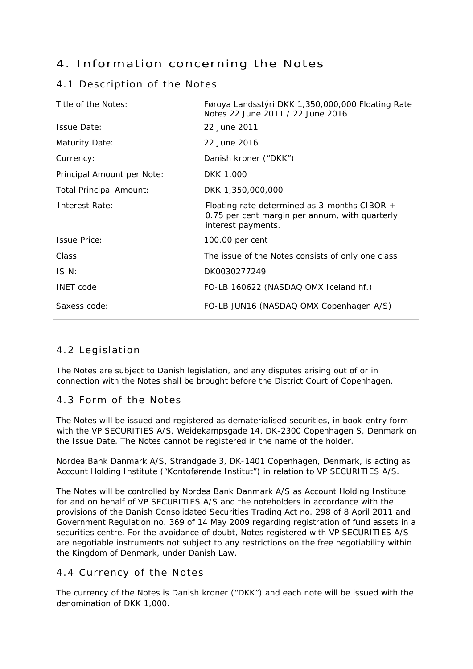### <span id="page-44-0"></span>4. Information concerning the Notes

### 4.1 Description of the Notes

| Title of the Notes:            | Føroya Landsstýri DKK 1,350,000,000 Floating Rate<br>Notes 22 June 2011 / 22 June 2016                                 |
|--------------------------------|------------------------------------------------------------------------------------------------------------------------|
| <b>Issue Date:</b>             | 22 June 2011                                                                                                           |
| Maturity Date:                 | 22 June 2016                                                                                                           |
| Currency:                      | Danish kroner ("DKK")                                                                                                  |
| Principal Amount per Note:     | DKK 1,000                                                                                                              |
| <b>Total Principal Amount:</b> | DKK 1,350,000,000                                                                                                      |
| Interest Rate:                 | Floating rate determined as 3-months CIBOR $+$<br>0.75 per cent margin per annum, with quarterly<br>interest payments. |
| <b>Issue Price:</b>            | 100.00 per cent                                                                                                        |
| Class:                         | The issue of the Notes consists of only one class                                                                      |
| ISIN:                          | DK0030277249                                                                                                           |
| <b>INET</b> code               | FO-LB 160622 (NASDAQ OMX Iceland hf.)                                                                                  |
| Saxess code:                   | FO-LB JUN16 (NASDAQ OMX Copenhagen A/S)                                                                                |

### 4.2 Legislation

The Notes are subject to Danish legislation, and any disputes arising out of or in connection with the Notes shall be brought before the District Court of Copenhagen.

### 4.3 Form of the Notes

The Notes will be issued and registered as dematerialised securities, in book-entry form with the VP SECURITIES A/S, Weidekampsgade 14, DK-2300 Copenhagen S, Denmark on the Issue Date. The Notes cannot be registered in the name of the holder.

Nordea Bank Danmark A/S, Strandgade 3, DK-1401 Copenhagen, Denmark, is acting as Account Holding Institute ("Kontoførende Institut") in relation to VP SECURITIES A/S.

The Notes will be controlled by Nordea Bank Danmark A/S as Account Holding Institute for and on behalf of VP SECURITIES A/S and the noteholders in accordance with the provisions of the Danish Consolidated Securities Trading Act no. 298 of 8 April 2011 and Government Regulation no. 369 of 14 May 2009 regarding registration of fund assets in a securities centre. For the avoidance of doubt, Notes registered with VP SECURITIES A/S are negotiable instruments not subject to any restrictions on the free negotiability within the Kingdom of Denmark, under Danish Law.

### 4.4 Currency of the Notes

The currency of the Notes is Danish kroner ("DKK") and each note will be issued with the denomination of DKK 1,000.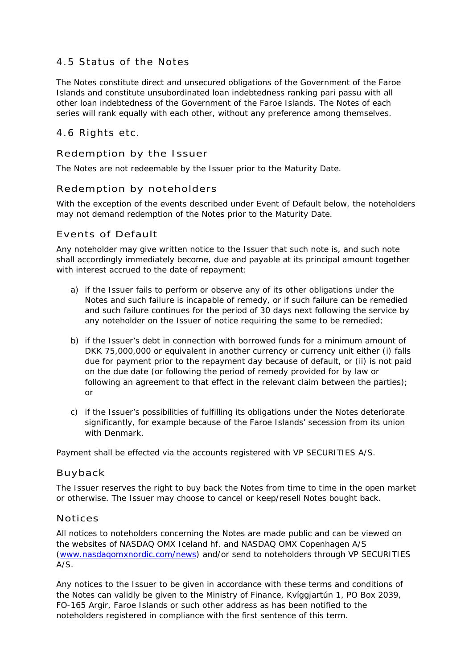### <span id="page-45-0"></span>4.5 Status of the Notes

The Notes constitute direct and unsecured obligations of the Government of the Faroe Islands and constitute unsubordinated loan indebtedness ranking pari passu with all other loan indebtedness of the Government of the Faroe Islands. The Notes of each series will rank equally with each other, without any preference among themselves.

### 4.6 Rights etc.

### Redemption by the Issuer

The Notes are not redeemable by the Issuer prior to the Maturity Date.

### Redemption by noteholders

With the exception of the events described under Event of Default below, the noteholders may not demand redemption of the Notes prior to the Maturity Date.

### Events of Default

Any noteholder may give written notice to the Issuer that such note is, and such note shall accordingly immediately become, due and payable at its principal amount together with interest accrued to the date of repayment:

- a) if the Issuer fails to perform or observe any of its other obligations under the Notes and such failure is incapable of remedy, or if such failure can be remedied and such failure continues for the period of 30 days next following the service by any noteholder on the Issuer of notice requiring the same to be remedied;
- b) if the Issuer's debt in connection with borrowed funds for a minimum amount of DKK 75,000,000 or equivalent in another currency or currency unit either (i) falls due for payment prior to the repayment day because of default, or (ii) is not paid on the due date (or following the period of remedy provided for by law or following an agreement to that effect in the relevant claim between the parties); or
- c) if the Issuer's possibilities of fulfilling its obligations under the Notes deteriorate significantly, for example because of the Faroe Islands' secession from its union with Denmark.

Payment shall be effected via the accounts registered with VP SECURITIES A/S.

### Buyback

The Issuer reserves the right to buy back the Notes from time to time in the open market or otherwise. The Issuer may choose to cancel or keep/resell Notes bought back.

#### Notices

All notices to noteholders concerning the Notes are made public and can be viewed on the websites of NASDAQ OMX Iceland hf. and NASDAQ OMX Copenhagen A/S [\(www.nasdaqomxnordic.com/news](http://www.nasdaqomxnordic.com/news)) and/or send to noteholders through VP SECURITIES  $A/S$ .

Any notices to the Issuer to be given in accordance with these terms and conditions of the Notes can validly be given to the Ministry of Finance, Kvíggjartún 1, PO Box 2039, FO-165 Argir, Faroe Islands or such other address as has been notified to the noteholders registered in compliance with the first sentence of this term.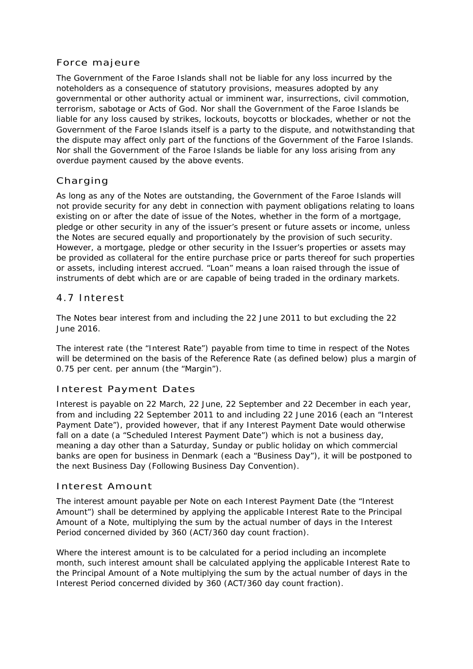### <span id="page-46-0"></span>Force majeure

The Government of the Faroe Islands shall not be liable for any loss incurred by the noteholders as a consequence of statutory provisions, measures adopted by any governmental or other authority actual or imminent war, insurrections, civil commotion, terrorism, sabotage or Acts of God. Nor shall the Government of the Faroe Islands be liable for any loss caused by strikes, lockouts, boycotts or blockades, whether or not the Government of the Faroe Islands itself is a party to the dispute, and notwithstanding that the dispute may affect only part of the functions of the Government of the Faroe Islands. Nor shall the Government of the Faroe Islands be liable for any loss arising from any overdue payment caused by the above events.

### Charging

As long as any of the Notes are outstanding, the Government of the Faroe Islands will not provide security for any debt in connection with payment obligations relating to loans existing on or after the date of issue of the Notes, whether in the form of a mortgage, pledge or other security in any of the issuer's present or future assets or income, unless the Notes are secured equally and proportionately by the provision of such security. However, a mortgage, pledge or other security in the Issuer's properties or assets may be provided as collateral for the entire purchase price or parts thereof for such properties or assets, including interest accrued. "Loan" means a loan raised through the issue of instruments of debt which are or are capable of being traded in the ordinary markets.

### 4.7 Interest

The Notes bear interest from and including the 22 June 2011 to but excluding the 22 June 2016.

The interest rate (the "Interest Rate") payable from time to time in respect of the Notes will be determined on the basis of the Reference Rate (as defined below) plus a margin of 0.75 per cent. per annum (the "Margin").

### Interest Payment Dates

Interest is payable on 22 March, 22 June, 22 September and 22 December in each year, from and including 22 September 2011 to and including 22 June 2016 (each an "Interest Payment Date"), provided however, that if any Interest Payment Date would otherwise fall on a date (a "Scheduled Interest Payment Date") which is not a business day, meaning a day other than a Saturday, Sunday or public holiday on which commercial banks are open for business in Denmark (each a "Business Day"), it will be postponed to the next Business Day (Following Business Day Convention).

### Interest Amount

The interest amount payable per Note on each Interest Payment Date (the "Interest Amount") shall be determined by applying the applicable Interest Rate to the Principal Amount of a Note, multiplying the sum by the actual number of days in the Interest Period concerned divided by 360 (ACT/360 day count fraction).

Where the interest amount is to be calculated for a period including an incomplete month, such interest amount shall be calculated applying the applicable Interest Rate to the Principal Amount of a Note multiplying the sum by the actual number of days in the Interest Period concerned divided by 360 (ACT/360 day count fraction).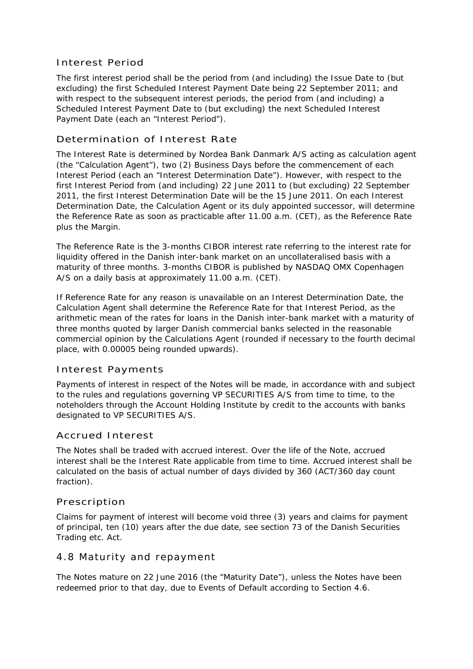### <span id="page-47-0"></span>Interest Period

The first interest period shall be the period from (and including) the Issue Date to (but excluding) the first Scheduled Interest Payment Date being 22 September 2011; and with respect to the subsequent interest periods, the period from (and including) a Scheduled Interest Payment Date to (but excluding) the next Scheduled Interest Payment Date (each an "Interest Period").

### Determination of Interest Rate

The Interest Rate is determined by Nordea Bank Danmark A/S acting as calculation agent (the "Calculation Agent"), two (2) Business Days before the commencement of each Interest Period (each an "Interest Determination Date"). However, with respect to the first Interest Period from (and including) 22 June 2011 to (but excluding) 22 September 2011, the first Interest Determination Date will be the 15 June 2011. On each Interest Determination Date, the Calculation Agent or its duly appointed successor, will determine the Reference Rate as soon as practicable after 11.00 a.m. (CET), as the Reference Rate plus the Margin.

The Reference Rate is the 3-months CIBOR interest rate referring to the interest rate for liquidity offered in the Danish inter-bank market on an uncollateralised basis with a maturity of three months. 3-months CIBOR is published by NASDAQ OMX Copenhagen A/S on a daily basis at approximately 11.00 a.m. (CET).

If Reference Rate for any reason is unavailable on an Interest Determination Date, the Calculation Agent shall determine the Reference Rate for that Interest Period, as the arithmetic mean of the rates for loans in the Danish inter-bank market with a maturity of three months quoted by larger Danish commercial banks selected in the reasonable commercial opinion by the Calculations Agent (rounded if necessary to the fourth decimal place, with 0.00005 being rounded upwards).

### Interest Payments

Payments of interest in respect of the Notes will be made, in accordance with and subject to the rules and regulations governing VP SECURITIES A/S from time to time, to the noteholders through the Account Holding Institute by credit to the accounts with banks designated to VP SECURITIES A/S.

### Accrued Interest

The Notes shall be traded with accrued interest. Over the life of the Note, accrued interest shall be the Interest Rate applicable from time to time. Accrued interest shall be calculated on the basis of actual number of days divided by 360 (ACT/360 day count fraction).

#### Prescription

Claims for payment of interest will become void three (3) years and claims for payment of principal, ten (10) years after the due date, see section 73 of the Danish Securities Trading etc. Act.

### 4.8 Maturity and repayment

The Notes mature on 22 June 2016 (the "Maturity Date"), unless the Notes have been redeemed prior to that day, due to Events of Default according to Section 4.6.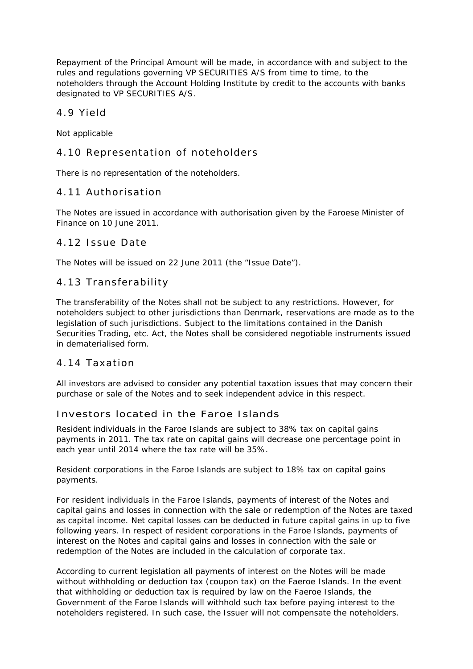<span id="page-48-0"></span>Repayment of the Principal Amount will be made, in accordance with and subject to the rules and regulations governing VP SECURITIES A/S from time to time, to the noteholders through the Account Holding Institute by credit to the accounts with banks designated to VP SECURITIES A/S.

### 4.9 Yield

Not applicable

### 4.10 Representation of noteholders

There is no representation of the noteholders.

### 4.11 Authorisation

The Notes are issued in accordance with authorisation given by the Faroese Minister of Finance on 10 June 2011.

### 4.12 Issue Date

The Notes will be issued on 22 June 2011 (the "Issue Date").

### 4.13 Transferability

The transferability of the Notes shall not be subject to any restrictions. However, for noteholders subject to other jurisdictions than Denmark, reservations are made as to the legislation of such jurisdictions. Subject to the limitations contained in the Danish Securities Trading, etc. Act, the Notes shall be considered negotiable instruments issued in dematerialised form.

### 4.14 Taxation

All investors are advised to consider any potential taxation issues that may concern their purchase or sale of the Notes and to seek independent advice in this respect.

### Investors located in the Faroe Islands

Resident individuals in the Faroe Islands are subject to 38% tax on capital gains payments in 2011. The tax rate on capital gains will decrease one percentage point in each year until 2014 where the tax rate will be 35%.

Resident corporations in the Faroe Islands are subject to 18% tax on capital gains payments.

For resident individuals in the Faroe Islands, payments of interest of the Notes and capital gains and losses in connection with the sale or redemption of the Notes are taxed as capital income. Net capital losses can be deducted in future capital gains in up to five following years. In respect of resident corporations in the Faroe Islands, payments of interest on the Notes and capital gains and losses in connection with the sale or redemption of the Notes are included in the calculation of corporate tax.

According to current legislation all payments of interest on the Notes will be made without withholding or deduction tax (coupon tax) on the Faeroe Islands. In the event that withholding or deduction tax is required by law on the Faeroe Islands, the Government of the Faroe Islands will withhold such tax before paying interest to the noteholders registered. In such case, the Issuer will not compensate the noteholders.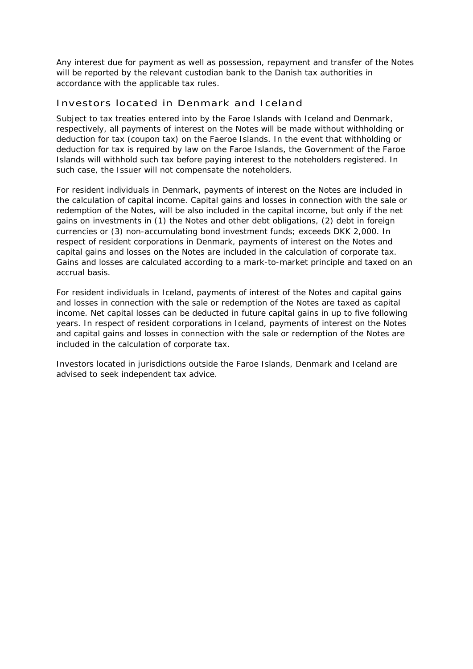Any interest due for payment as well as possession, repayment and transfer of the Notes will be reported by the relevant custodian bank to the Danish tax authorities in accordance with the applicable tax rules.

### Investors located in Denmark and Iceland

Subject to tax treaties entered into by the Faroe Islands with Iceland and Denmark, respectively, all payments of interest on the Notes will be made without withholding or deduction for tax (coupon tax) on the Faeroe Islands. In the event that withholding or deduction for tax is required by law on the Faroe Islands, the Government of the Faroe Islands will withhold such tax before paying interest to the noteholders registered. In such case, the Issuer will not compensate the noteholders.

For resident individuals in Denmark, payments of interest on the Notes are included in the calculation of capital income. Capital gains and losses in connection with the sale or redemption of the Notes, will be also included in the capital income, but only if the net gains on investments in (1) the Notes and other debt obligations, (2) debt in foreign currencies or (3) non-accumulating bond investment funds; exceeds DKK 2,000. In respect of resident corporations in Denmark, payments of interest on the Notes and capital gains and losses on the Notes are included in the calculation of corporate tax. Gains and losses are calculated according to a mark-to-market principle and taxed on an accrual basis.

For resident individuals in Iceland, payments of interest of the Notes and capital gains and losses in connection with the sale or redemption of the Notes are taxed as capital income. Net capital losses can be deducted in future capital gains in up to five following years. In respect of resident corporations in Iceland, payments of interest on the Notes and capital gains and losses in connection with the sale or redemption of the Notes are included in the calculation of corporate tax.

Investors located in jurisdictions outside the Faroe Islands, Denmark and Iceland are advised to seek independent tax advice.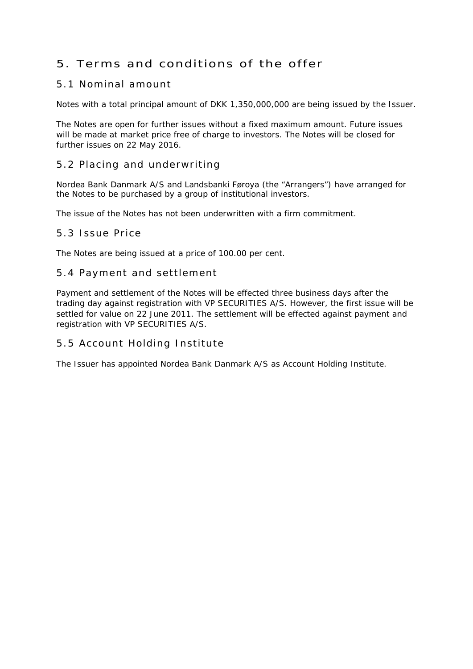### <span id="page-50-0"></span>5. Terms and conditions of the offer

### 5.1 Nominal amount

Notes with a total principal amount of DKK 1,350,000,000 are being issued by the Issuer.

The Notes are open for further issues without a fixed maximum amount. Future issues will be made at market price free of charge to investors. The Notes will be closed for further issues on 22 May 2016.

### 5.2 Placing and underwriting

Nordea Bank Danmark A/S and Landsbanki Føroya (the "Arrangers") have arranged for the Notes to be purchased by a group of institutional investors.

The issue of the Notes has not been underwritten with a firm commitment.

### 5.3 Issue Price

The Notes are being issued at a price of 100.00 per cent.

### 5.4 Payment and settlement

Payment and settlement of the Notes will be effected three business days after the trading day against registration with VP SECURITIES A/S. However, the first issue will be settled for value on 22 June 2011. The settlement will be effected against payment and registration with VP SECURITIES A/S.

### 5.5 Account Holding Institute

The Issuer has appointed Nordea Bank Danmark A/S as Account Holding Institute.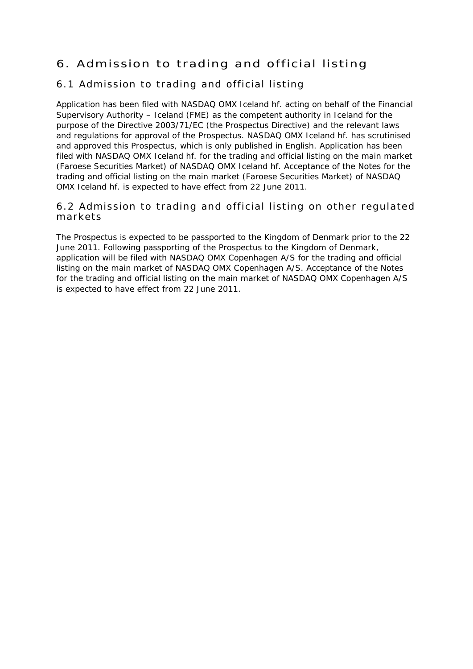### <span id="page-51-0"></span>6. Admission to trading and official listing

### 6.1 Admission to trading and official listing

Application has been filed with NASDAQ OMX Iceland hf. acting on behalf of the Financial Supervisory Authority – Iceland (FME) as the competent authority in Iceland for the purpose of the Directive 2003/71/EC (the Prospectus Directive) and the relevant laws and regulations for approval of the Prospectus. NASDAQ OMX Iceland hf. has scrutinised and approved this Prospectus, which is only published in English. Application has been filed with NASDAQ OMX Iceland hf. for the trading and official listing on the main market (Faroese Securities Market) of NASDAQ OMX Iceland hf. Acceptance of the Notes for the trading and official listing on the main market (Faroese Securities Market) of NASDAQ OMX Iceland hf. is expected to have effect from 22 June 2011.

### 6.2 Admission to trading and official listing on other regulated markets

The Prospectus is expected to be passported to the Kingdom of Denmark prior to the 22 June 2011. Following passporting of the Prospectus to the Kingdom of Denmark, application will be filed with NASDAQ OMX Copenhagen A/S for the trading and official listing on the main market of NASDAQ OMX Copenhagen A/S. Acceptance of the Notes for the trading and official listing on the main market of NASDAQ OMX Copenhagen A/S is expected to have effect from 22 June 2011.